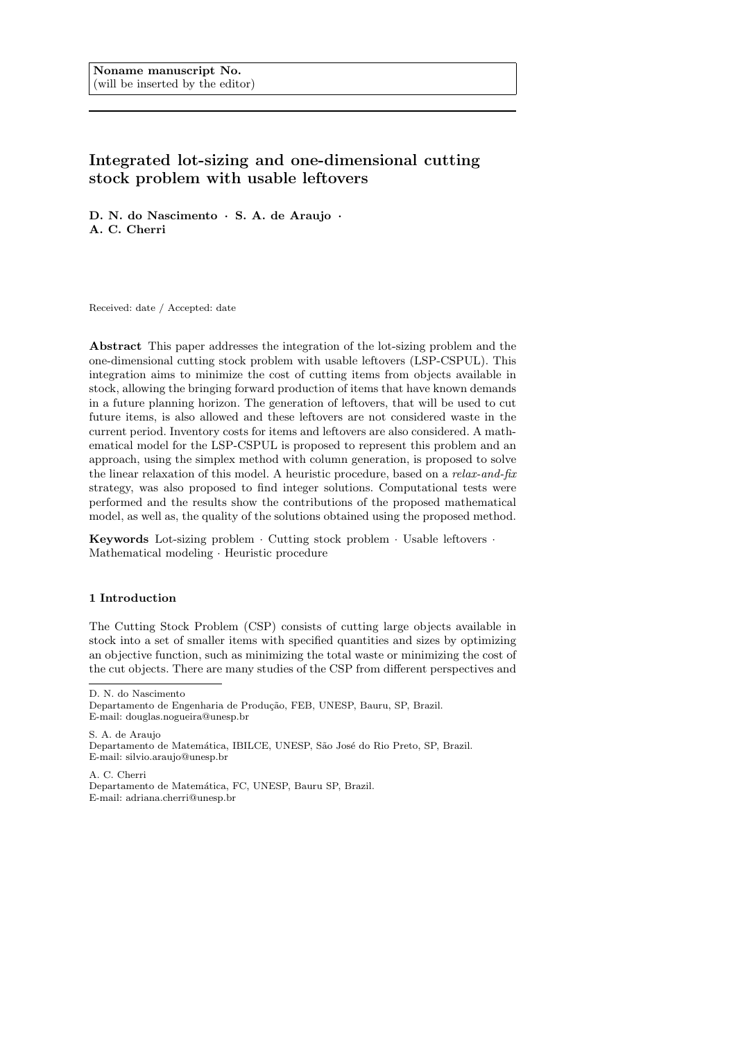# Integrated lot-sizing and one-dimensional cutting stock problem with usable leftovers

D. N. do Nascimento · S. A. de Araujo · A. C. Cherri

Received: date / Accepted: date

Abstract This paper addresses the integration of the lot-sizing problem and the one-dimensional cutting stock problem with usable leftovers (LSP-CSPUL). This integration aims to minimize the cost of cutting items from objects available in stock, allowing the bringing forward production of items that have known demands in a future planning horizon. The generation of leftovers, that will be used to cut future items, is also allowed and these leftovers are not considered waste in the current period. Inventory costs for items and leftovers are also considered. A mathematical model for the LSP-CSPUL is proposed to represent this problem and an approach, using the simplex method with column generation, is proposed to solve the linear relaxation of this model. A heuristic procedure, based on a relax-and-fix strategy, was also proposed to find integer solutions. Computational tests were performed and the results show the contributions of the proposed mathematical model, as well as, the quality of the solutions obtained using the proposed method.

Keywords Lot-sizing problem · Cutting stock problem · Usable leftovers · Mathematical modeling · Heuristic procedure

# 1 Introduction

The Cutting Stock Problem (CSP) consists of cutting large objects available in stock into a set of smaller items with specified quantities and sizes by optimizing an objective function, such as minimizing the total waste or minimizing the cost of the cut objects. There are many studies of the CSP from different perspectives and

D. N. do Nascimento

S. A. de Araujo

A. C. Cherri

Departamento de Engenharia de Produção, FEB, UNESP, Bauru, SP, Brazil. E-mail: douglas.nogueira@unesp.br

Departamento de Matemática, IBILCE, UNESP, São José do Rio Preto, SP, Brazil. E-mail: silvio.araujo@unesp.br

Departamento de Matemática, FC, UNESP, Bauru SP, Brazil. E-mail: adriana.cherri@unesp.br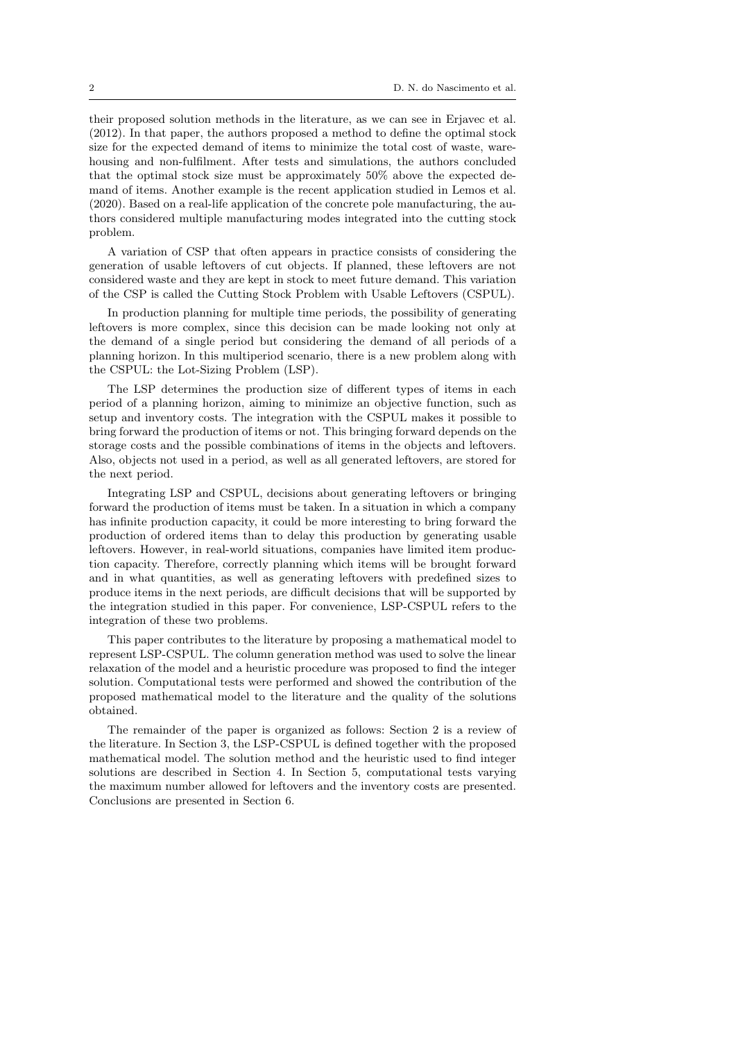their proposed solution methods in the literature, as we can see in Erjavec et al. (2012). In that paper, the authors proposed a method to define the optimal stock size for the expected demand of items to minimize the total cost of waste, warehousing and non-fulfilment. After tests and simulations, the authors concluded that the optimal stock size must be approximately 50% above the expected demand of items. Another example is the recent application studied in Lemos et al. (2020). Based on a real-life application of the concrete pole manufacturing, the authors considered multiple manufacturing modes integrated into the cutting stock problem.

A variation of CSP that often appears in practice consists of considering the generation of usable leftovers of cut objects. If planned, these leftovers are not considered waste and they are kept in stock to meet future demand. This variation of the CSP is called the Cutting Stock Problem with Usable Leftovers (CSPUL).

In production planning for multiple time periods, the possibility of generating leftovers is more complex, since this decision can be made looking not only at the demand of a single period but considering the demand of all periods of a planning horizon. In this multiperiod scenario, there is a new problem along with the CSPUL: the Lot-Sizing Problem (LSP).

The LSP determines the production size of different types of items in each period of a planning horizon, aiming to minimize an objective function, such as setup and inventory costs. The integration with the CSPUL makes it possible to bring forward the production of items or not. This bringing forward depends on the storage costs and the possible combinations of items in the objects and leftovers. Also, objects not used in a period, as well as all generated leftovers, are stored for the next period.

Integrating LSP and CSPUL, decisions about generating leftovers or bringing forward the production of items must be taken. In a situation in which a company has infinite production capacity, it could be more interesting to bring forward the production of ordered items than to delay this production by generating usable leftovers. However, in real-world situations, companies have limited item production capacity. Therefore, correctly planning which items will be brought forward and in what quantities, as well as generating leftovers with predefined sizes to produce items in the next periods, are difficult decisions that will be supported by the integration studied in this paper. For convenience, LSP-CSPUL refers to the integration of these two problems.

This paper contributes to the literature by proposing a mathematical model to represent LSP-CSPUL. The column generation method was used to solve the linear relaxation of the model and a heuristic procedure was proposed to find the integer solution. Computational tests were performed and showed the contribution of the proposed mathematical model to the literature and the quality of the solutions obtained.

The remainder of the paper is organized as follows: Section 2 is a review of the literature. In Section 3, the LSP-CSPUL is defined together with the proposed mathematical model. The solution method and the heuristic used to find integer solutions are described in Section 4. In Section 5, computational tests varying the maximum number allowed for leftovers and the inventory costs are presented. Conclusions are presented in Section 6.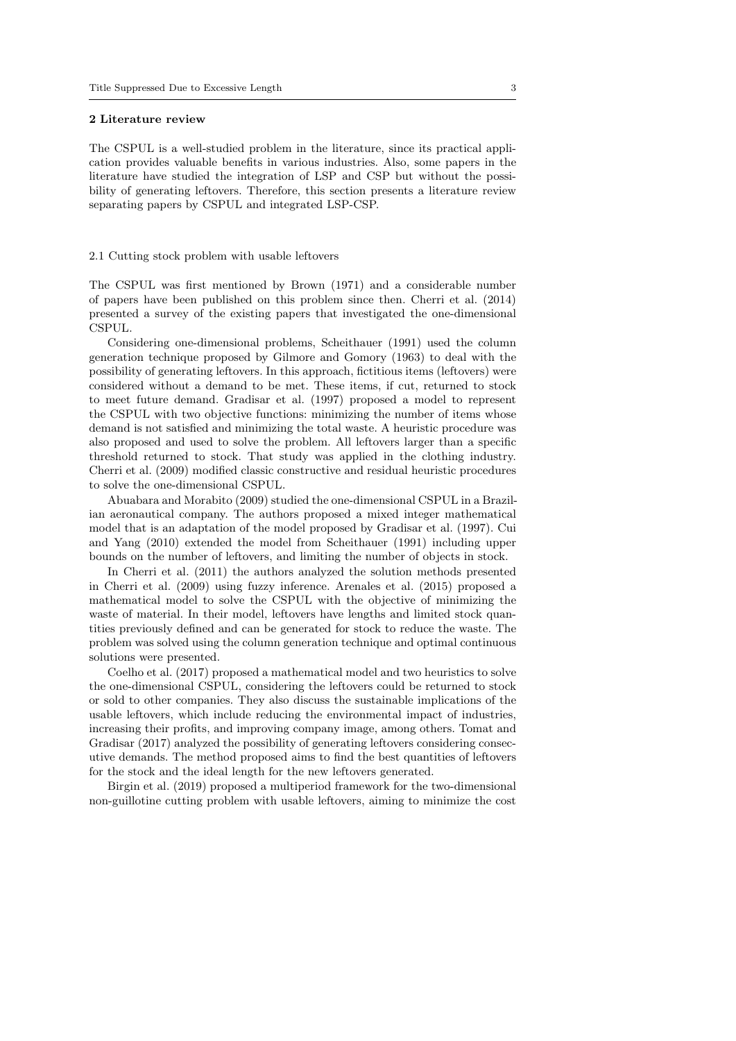#### 2 Literature review

The CSPUL is a well-studied problem in the literature, since its practical application provides valuable benefits in various industries. Also, some papers in the literature have studied the integration of LSP and CSP but without the possibility of generating leftovers. Therefore, this section presents a literature review separating papers by CSPUL and integrated LSP-CSP.

## 2.1 Cutting stock problem with usable leftovers

The CSPUL was first mentioned by Brown (1971) and a considerable number of papers have been published on this problem since then. Cherri et al. (2014) presented a survey of the existing papers that investigated the one-dimensional CSPUL.

Considering one-dimensional problems, Scheithauer (1991) used the column generation technique proposed by Gilmore and Gomory (1963) to deal with the possibility of generating leftovers. In this approach, fictitious items (leftovers) were considered without a demand to be met. These items, if cut, returned to stock to meet future demand. Gradisar et al. (1997) proposed a model to represent the CSPUL with two objective functions: minimizing the number of items whose demand is not satisfied and minimizing the total waste. A heuristic procedure was also proposed and used to solve the problem. All leftovers larger than a specific threshold returned to stock. That study was applied in the clothing industry. Cherri et al. (2009) modified classic constructive and residual heuristic procedures to solve the one-dimensional CSPUL.

Abuabara and Morabito (2009) studied the one-dimensional CSPUL in a Brazilian aeronautical company. The authors proposed a mixed integer mathematical model that is an adaptation of the model proposed by Gradisar et al. (1997). Cui and Yang (2010) extended the model from Scheithauer (1991) including upper bounds on the number of leftovers, and limiting the number of objects in stock.

In Cherri et al. (2011) the authors analyzed the solution methods presented in Cherri et al. (2009) using fuzzy inference. Arenales et al. (2015) proposed a mathematical model to solve the CSPUL with the objective of minimizing the waste of material. In their model, leftovers have lengths and limited stock quantities previously defined and can be generated for stock to reduce the waste. The problem was solved using the column generation technique and optimal continuous solutions were presented.

Coelho et al. (2017) proposed a mathematical model and two heuristics to solve the one-dimensional CSPUL, considering the leftovers could be returned to stock or sold to other companies. They also discuss the sustainable implications of the usable leftovers, which include reducing the environmental impact of industries, increasing their profits, and improving company image, among others. Tomat and Gradisar (2017) analyzed the possibility of generating leftovers considering consecutive demands. The method proposed aims to find the best quantities of leftovers for the stock and the ideal length for the new leftovers generated.

Birgin et al. (2019) proposed a multiperiod framework for the two-dimensional non-guillotine cutting problem with usable leftovers, aiming to minimize the cost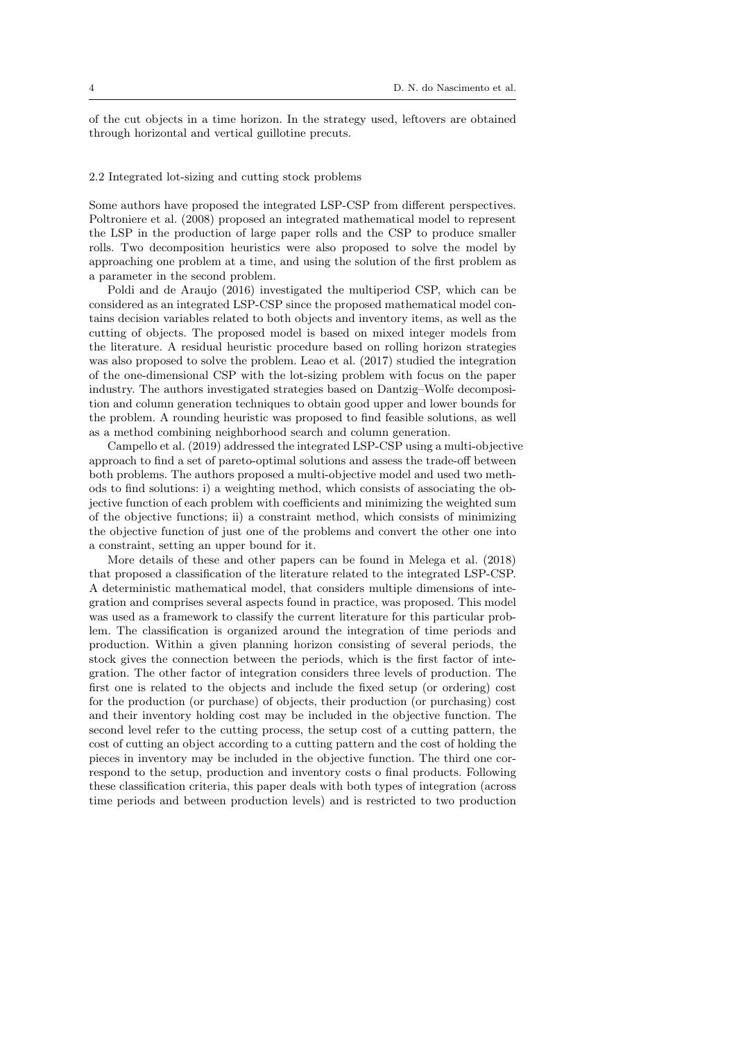of the cut objects in a time horizon. In the strategy used, leftovers are obtained through horizontal and vertical guillotine precuts.

# 2.2 Integrated lot-sizing and cutting stock problems

Some authors have proposed the integrated LSP-CSP from different perspectives. Poltroniere et al. (2008) proposed an integrated mathematical model to represent the LSP in the production of large paper rolls and the CSP to produce smaller rolls. Two decomposition heuristics were also proposed to solve the model by approaching one problem at a time, and using the solution of the first problem as a parameter in the second problem.

Poldi and de Araujo (2016) investigated the multiperiod CSP, which can be considered as an integrated LSP-CSP since the proposed mathematical model contains decision variables related to both objects and inventory items, as well as the cutting of objects. The proposed model is based on mixed integer models from the literature. A residual heuristic procedure based on rolling horizon strategies was also proposed to solve the problem. Leao et al. (2017) studied the integration of the one-dimensional CSP with the lot-sizing problem with focus on the paper industry. The authors investigated strategies based on Dantzig–Wolfe decomposition and column generation techniques to obtain good upper and lower bounds for the problem. A rounding heuristic was proposed to find feasible solutions, as well as a method combining neighborhood search and column generation.

Campello et al. (2019) addressed the integrated LSP-CSP using a multi-objective approach to find a set of pareto-optimal solutions and assess the trade-off between both problems. The authors proposed a multi-objective model and used two methods to find solutions: i) a weighting method, which consists of associating the objective function of each problem with coefficients and minimizing the weighted sum of the objective functions; ii) a constraint method, which consists of minimizing the objective function of just one of the problems and convert the other one into a constraint, setting an upper bound for it.

More details of these and other papers can be found in Melega et al. (2018) that proposed a classification of the literature related to the integrated LSP-CSP. A deterministic mathematical model, that considers multiple dimensions of integration and comprises several aspects found in practice, was proposed. This model was used as a framework to classify the current literature for this particular problem. The classification is organized around the integration of time periods and production. Within a given planning horizon consisting of several periods, the stock gives the connection between the periods, which is the first factor of integration. The other factor of integration considers three levels of production. The first one is related to the objects and include the fixed setup (or ordering) cost for the production (or purchase) of objects, their production (or purchasing) cost and their inventory holding cost may be included in the objective function. The second level refer to the cutting process, the setup cost of a cutting pattern, the cost of cutting an object according to a cutting pattern and the cost of holding the pieces in inventory may be included in the objective function. The third one correspond to the setup, production and inventory costs o final products. Following these classification criteria, this paper deals with both types of integration (across time periods and between production levels) and is restricted to two production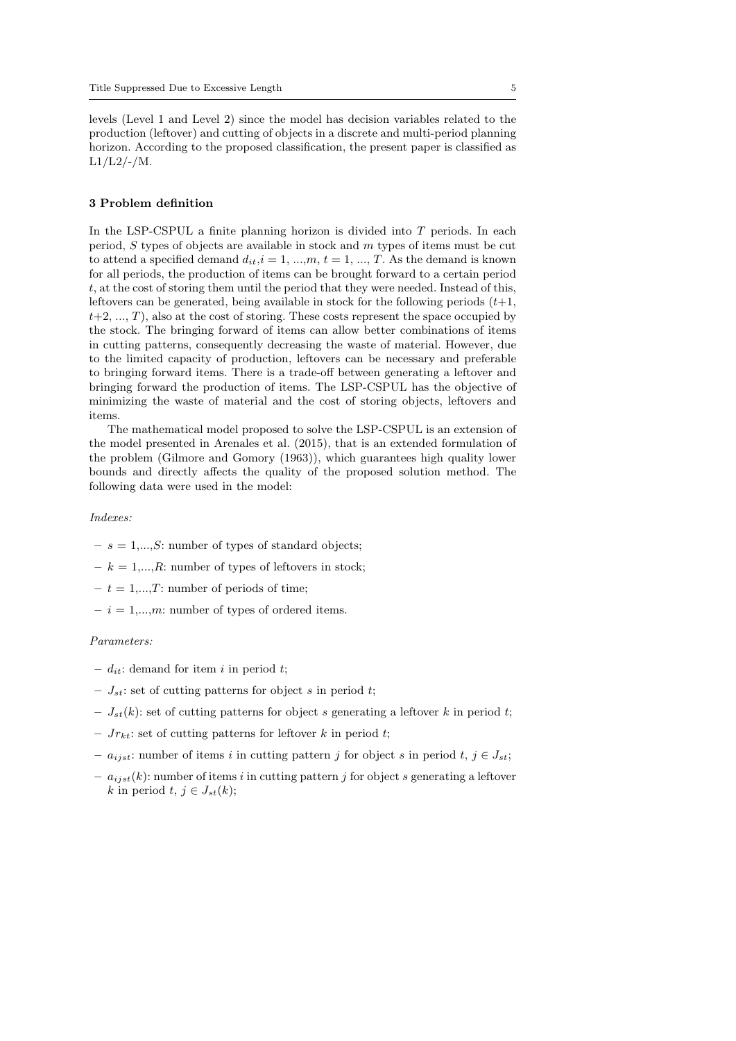levels (Level 1 and Level 2) since the model has decision variables related to the production (leftover) and cutting of objects in a discrete and multi-period planning horizon. According to the proposed classification, the present paper is classified as  $L1/L2$ /-/M.

# 3 Problem definition

In the LSP-CSPUL a finite planning horizon is divided into  $T$  periods. In each period, S types of objects are available in stock and m types of items must be cut to attend a specified demand  $d_{it}, i = 1, ..., m, t = 1, ..., T$ . As the demand is known for all periods, the production of items can be brought forward to a certain period t, at the cost of storing them until the period that they were needed. Instead of this, leftovers can be generated, being available in stock for the following periods  $(t+1,$  $t+2, ..., T$ , also at the cost of storing. These costs represent the space occupied by the stock. The bringing forward of items can allow better combinations of items in cutting patterns, consequently decreasing the waste of material. However, due to the limited capacity of production, leftovers can be necessary and preferable to bringing forward items. There is a trade-off between generating a leftover and bringing forward the production of items. The LSP-CSPUL has the objective of minimizing the waste of material and the cost of storing objects, leftovers and items.

The mathematical model proposed to solve the LSP-CSPUL is an extension of the model presented in Arenales et al. (2015), that is an extended formulation of the problem (Gilmore and Gomory (1963)), which guarantees high quality lower bounds and directly affects the quality of the proposed solution method. The following data were used in the model:

#### Indexes:

- $-s = 1,...,S$ : number of types of standard objects;
- $k = 1, \ldots, R$ : number of types of leftovers in stock;
- $-t = 1,...,T$ : number of periods of time;
- $i = 1,...,m$ : number of types of ordered items.

#### Parameters:

- $d_{it}$ : demand for item i in period t;
- $J_{st}$ : set of cutting patterns for object s in period t;
- $-J_{st}(k)$ : set of cutting patterns for object s generating a leftover k in period t;
- $Jr_{kt}$ : set of cutting patterns for leftover k in period t;
- $a_{ijst}$ : number of items i in cutting pattern j for object s in period  $t, j \in J_{st}$ ;
- $a_{i,jst}(k)$ : number of items i in cutting pattern j for object s generating a leftover k in period  $t, j \in J_{st}(k);$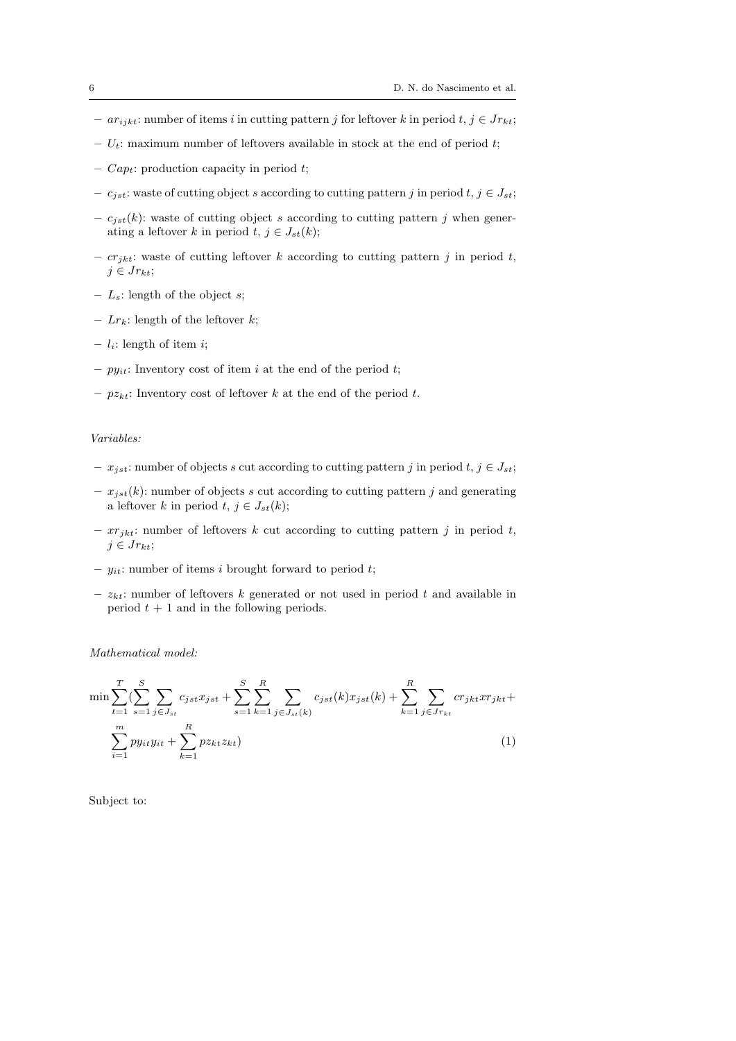- $ar_{ijkt}$ : number of items i in cutting pattern j for leftover k in period  $t, j \in Jr_{kt}$ ;
- $U_t$ : maximum number of leftovers available in stock at the end of period t;
- $Cap_t$ : production capacity in period t;
- $c_{jst}$ : waste of cutting object s according to cutting pattern j in period  $t, j \in J_{st}$ ;
- $c_{ist}(k)$ : waste of cutting object s according to cutting pattern j when generating a leftover k in period  $t, j \in J_{st}(k);$
- $cr_{jkt}$ : waste of cutting leftover k according to cutting pattern j in period t,  $j \in Jr_{kt};$
- $L_s$ : length of the object s;
- $Lr_k$ : length of the leftover k;
- $l_i$ : length of item *i*;
- $py_{it}$ : Inventory cost of item i at the end of the period t;
- $pz_{kt}$ : Inventory cost of leftover k at the end of the period t.

# Variables:

- $x_{jst}$ : number of objects s cut according to cutting pattern j in period  $t, j \in J_{st}$ ;
- $x_{jst}(k)$ : number of objects s cut according to cutting pattern j and generating a leftover k in period  $t, j \in J_{st}(k);$
- $xr_{ikt}$ : number of leftovers k cut according to cutting pattern j in period t,  $j \in Jr_{kt};$
- $y_{it}$ : number of items i brought forward to period t;
- $z_{kt}$ : number of leftovers k generated or not used in period t and available in period  $t + 1$  and in the following periods.

Mathematical model:

$$
\min \sum_{t=1}^{T} \left( \sum_{s=1}^{S} \sum_{j \in J_{st}} c_{jst} x_{jst} + \sum_{s=1}^{S} \sum_{k=1}^{R} \sum_{j \in J_{st}(k)} c_{jst}(k) x_{jst}(k) + \sum_{k=1}^{R} \sum_{j \in J_{r_{kt}}} c_{jkt} x_{jkt} + \sum_{k=1}^{R} p y_{it} y_{it} + \sum_{k=1}^{R} p z_{kt} z_{kt} \right)
$$
\n(1)

Subject to: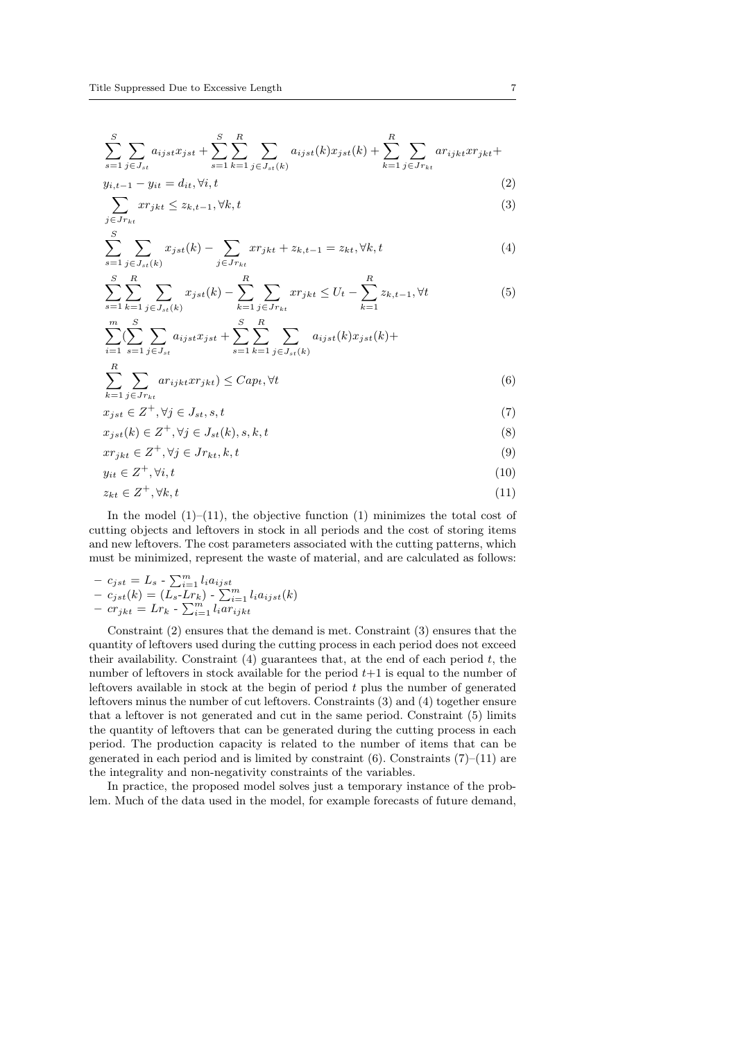$$
\sum_{s=1}^{S} \sum_{j \in J_{st}} a_{ijst} x_{jst} + \sum_{s=1}^{S} \sum_{k=1}^{R} \sum_{j \in J_{st}(k)} a_{ijst}(k) x_{jst}(k) + \sum_{k=1}^{R} \sum_{j \in Jr_{kt}} a r_{ijkt} x r_{jkt} +
$$

$$
y_{i,t-1} - y_{it} = d_{it}, \forall i, t \tag{2}
$$

$$
\sum_{j \in Jr_{kt}} x r_{jkt} \le z_{k,t-1}, \forall k, t \tag{3}
$$

$$
\sum_{s=1}^{S} \sum_{j \in J_{st}(k)} x_{jst}(k) - \sum_{j \in Jr_{kt}} x_{jkt} + z_{k,t-1} = z_{kt}, \forall k, t
$$
\n(4)

$$
\sum_{s=1}^{S} \sum_{k=1}^{R} \sum_{j \in J_{st}(k)} x_{jst}(k) - \sum_{k=1}^{R} \sum_{j \in Jr_{kt}} x r_{jkt} \le U_t - \sum_{k=1}^{R} z_{k,t-1}, \forall t
$$
(5)

$$
\sum_{i=1}^{m} \sum_{s=1}^{S} \sum_{j \in J_{st}} a_{ijst} x_{jst} + \sum_{s=1}^{S} \sum_{k=1}^{R} \sum_{j \in J_{st}(k)} a_{ijst}(k) x_{jst}(k) +
$$
  

$$
\sum_{k=1}^{R} \sum_{j \in Jr_{kt}} a_{ijst} x r_{jkt}) \le Cap_{t}, \forall t
$$
 (6)

$$
x_{jst} \in Z^+, \forall j \in J_{st}, s, t \tag{7}
$$

$$
x_{jst}(k) \in Z^+, \forall j \in J_{st}(k), s, k, t \tag{8}
$$

$$
xr_{jkt} \in Z^+, \forall j \in Jr_{kt}, k, t \tag{9}
$$

$$
y_{it} \in Z^+, \forall i, t \tag{10}
$$

$$
z_{kt} \in Z^+, \forall k, t \tag{11}
$$

In the model  $(1)$ – $(11)$ , the objective function  $(1)$  minimizes the total cost of cutting objects and leftovers in stock in all periods and the cost of storing items and new leftovers. The cost parameters associated with the cutting patterns, which must be minimized, represent the waste of material, and are calculated as follows:

$$
- c_{jst} = L_s - \sum_{i=1}^{m} l_i a_{ijst}
$$
  
- c\_{jst}(k) = (L\_s - Lr\_k) - \sum\_{i=1}^{m} l\_i a\_{ijst}(k)  
- cr\_{jkt} = Lr\_k - \sum\_{i=1}^{m} l\_i a r\_{ijkt}

Constraint (2) ensures that the demand is met. Constraint (3) ensures that the quantity of leftovers used during the cutting process in each period does not exceed their availability. Constraint  $(4)$  guarantees that, at the end of each period t, the number of leftovers in stock available for the period  $t+1$  is equal to the number of leftovers available in stock at the begin of period  $t$  plus the number of generated leftovers minus the number of cut leftovers. Constraints (3) and (4) together ensure that a leftover is not generated and cut in the same period. Constraint (5) limits the quantity of leftovers that can be generated during the cutting process in each period. The production capacity is related to the number of items that can be generated in each period and is limited by constraint  $(6)$ . Constraints  $(7)$ – $(11)$  are the integrality and non-negativity constraints of the variables.

In practice, the proposed model solves just a temporary instance of the problem. Much of the data used in the model, for example forecasts of future demand,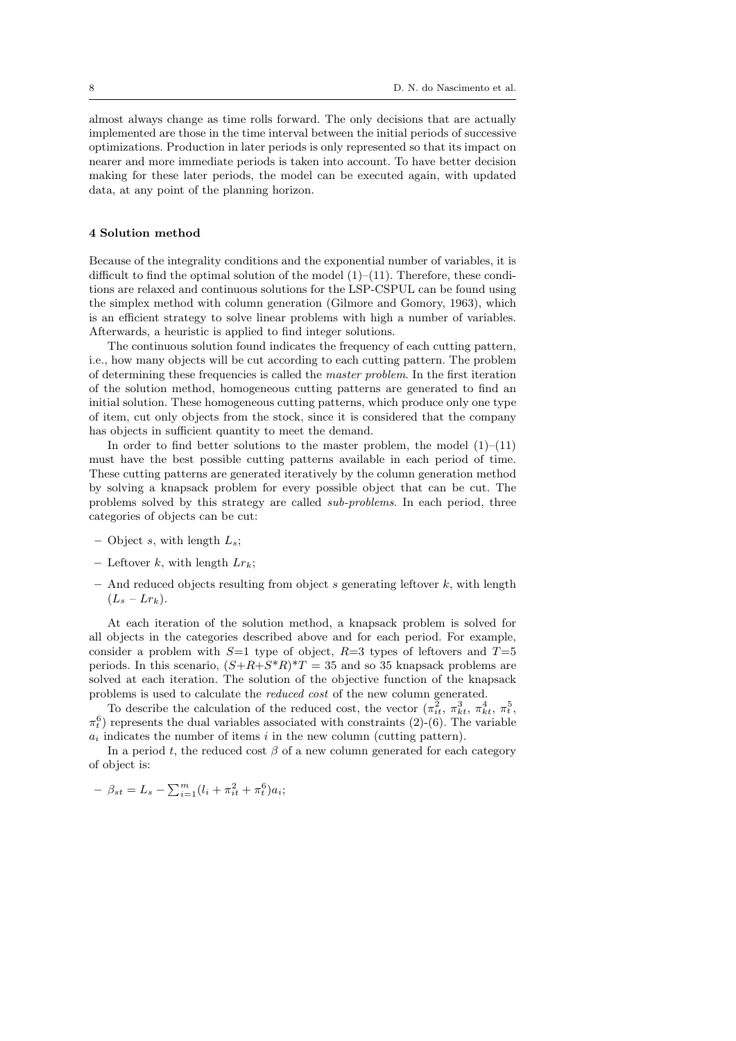almost always change as time rolls forward. The only decisions that are actually implemented are those in the time interval between the initial periods of successive optimizations. Production in later periods is only represented so that its impact on nearer and more immediate periods is taken into account. To have better decision making for these later periods, the model can be executed again, with updated data, at any point of the planning horizon.

## 4 Solution method

Because of the integrality conditions and the exponential number of variables, it is difficult to find the optimal solution of the model  $(1)$ – $(11)$ . Therefore, these conditions are relaxed and continuous solutions for the LSP-CSPUL can be found using the simplex method with column generation (Gilmore and Gomory, 1963), which is an efficient strategy to solve linear problems with high a number of variables. Afterwards, a heuristic is applied to find integer solutions.

The continuous solution found indicates the frequency of each cutting pattern, i.e., how many objects will be cut according to each cutting pattern. The problem of determining these frequencies is called the master problem. In the first iteration of the solution method, homogeneous cutting patterns are generated to find an initial solution. These homogeneous cutting patterns, which produce only one type of item, cut only objects from the stock, since it is considered that the company has objects in sufficient quantity to meet the demand.

In order to find better solutions to the master problem, the model  $(1)$ – $(11)$ must have the best possible cutting patterns available in each period of time. These cutting patterns are generated iteratively by the column generation method by solving a knapsack problem for every possible object that can be cut. The problems solved by this strategy are called sub-problems. In each period, three categories of objects can be cut:

- Object s, with length  $L_s$ ;
- Leftover k, with length  $Lr_k$ ;
- $-$  And reduced objects resulting from object s generating leftover k, with length  $(L_s - Lr_k).$

At each iteration of the solution method, a knapsack problem is solved for all objects in the categories described above and for each period. For example, consider a problem with  $S=1$  type of object,  $R=3$  types of leftovers and  $T=5$ periods. In this scenario,  $(S+R+S^*R)^*T = 35$  and so 35 knapsack problems are solved at each iteration. The solution of the objective function of the knapsack problems is used to calculate the reduced cost of the new column generated.

To describe the calculation of the reduced cost, the vector  $(\pi_{it}^2, \pi_{kt}^3, \pi_{kt}^4, \pi_t^5)$  $\pi_t^6$ ) represents the dual variables associated with constraints (2)-(6). The variable  $a_i$  indicates the number of items  $i$  in the new column (cutting pattern).

In a period t, the reduced cost  $\beta$  of a new column generated for each category of object is:

$$
- \beta_{st} = L_s - \sum_{i=1}^{m} (l_i + \pi_{it}^2 + \pi_t^6) a_i;
$$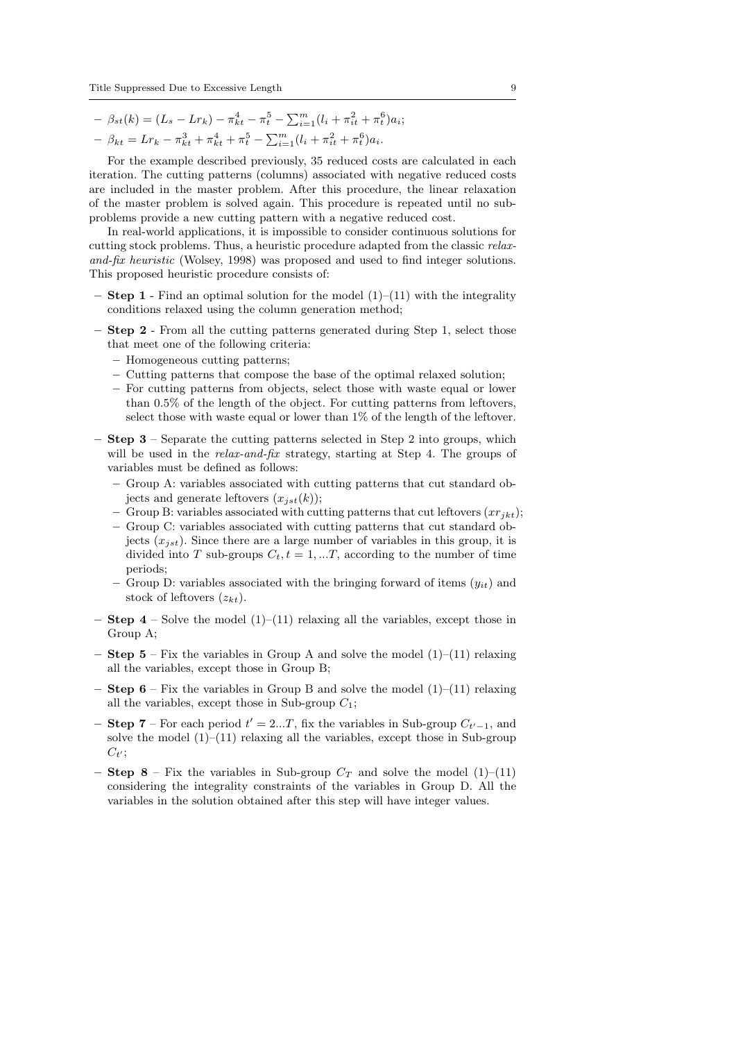$- \beta_{st}(k) = (L_s - Lr_k) - \pi_{kt}^4 - \pi_t^5 - \sum_{i=1}^m (l_i + \pi_{it}^2 + \pi_t^6) a_i;$  $- \beta_{kt} = Lr_k - \pi_{kt}^3 + \pi_{kt}^4 + \pi_t^5 - \sum_{i=1}^m (l_i + \pi_{it}^2 + \pi_t^6) a_i.$ 

For the example described previously, 35 reduced costs are calculated in each iteration. The cutting patterns (columns) associated with negative reduced costs are included in the master problem. After this procedure, the linear relaxation of the master problem is solved again. This procedure is repeated until no subproblems provide a new cutting pattern with a negative reduced cost.

In real-world applications, it is impossible to consider continuous solutions for cutting stock problems. Thus, a heuristic procedure adapted from the classic relaxand-fix heuristic (Wolsey, 1998) was proposed and used to find integer solutions. This proposed heuristic procedure consists of:

- **Step 1** Find an optimal solution for the model  $(1)-(11)$  with the integrality conditions relaxed using the column generation method;
- Step 2 From all the cutting patterns generated during Step 1, select those that meet one of the following criteria:
	- Homogeneous cutting patterns;
	- Cutting patterns that compose the base of the optimal relaxed solution;
	- For cutting patterns from objects, select those with waste equal or lower than 0.5% of the length of the object. For cutting patterns from leftovers, select those with waste equal or lower than 1% of the length of the leftover.
- Step 3 Separate the cutting patterns selected in Step 2 into groups, which will be used in the relax-and-fix strategy, starting at Step 4. The groups of variables must be defined as follows:
	- Group A: variables associated with cutting patterns that cut standard objects and generate leftovers  $(x_{jst}(k))$ ;
	- Group B: variables associated with cutting patterns that cut leftovers  $(xr_{ikt})$ ;
	- Group C: variables associated with cutting patterns that cut standard objects  $(x_{ist})$ . Since there are a large number of variables in this group, it is divided into T sub-groups  $C_t$ ,  $t = 1,...T$ , according to the number of time periods;
	- Group D: variables associated with the bringing forward of items  $(y_{it})$  and stock of leftovers  $(z_{kt})$ .
- **Step 4** Solve the model  $(1)$ – $(11)$  relaxing all the variables, except those in Group A;
- **Step 5** Fix the variables in Group A and solve the model  $(1)$ – $(11)$  relaxing all the variables, except those in Group B;
- **Step 6** Fix the variables in Group B and solve the model  $(1)$ – $(11)$  relaxing all the variables, except those in Sub-group  $C_1$ ;
- Step 7 For each period  $t' = 2...T$ , fix the variables in Sub-group  $C_{t'-1}$ , and solve the model  $(1)$ – $(11)$  relaxing all the variables, except those in Sub-group  $C_{t^\prime};$
- Step 8 Fix the variables in Sub-group  $C_T$  and solve the model (1)–(11) considering the integrality constraints of the variables in Group D. All the variables in the solution obtained after this step will have integer values.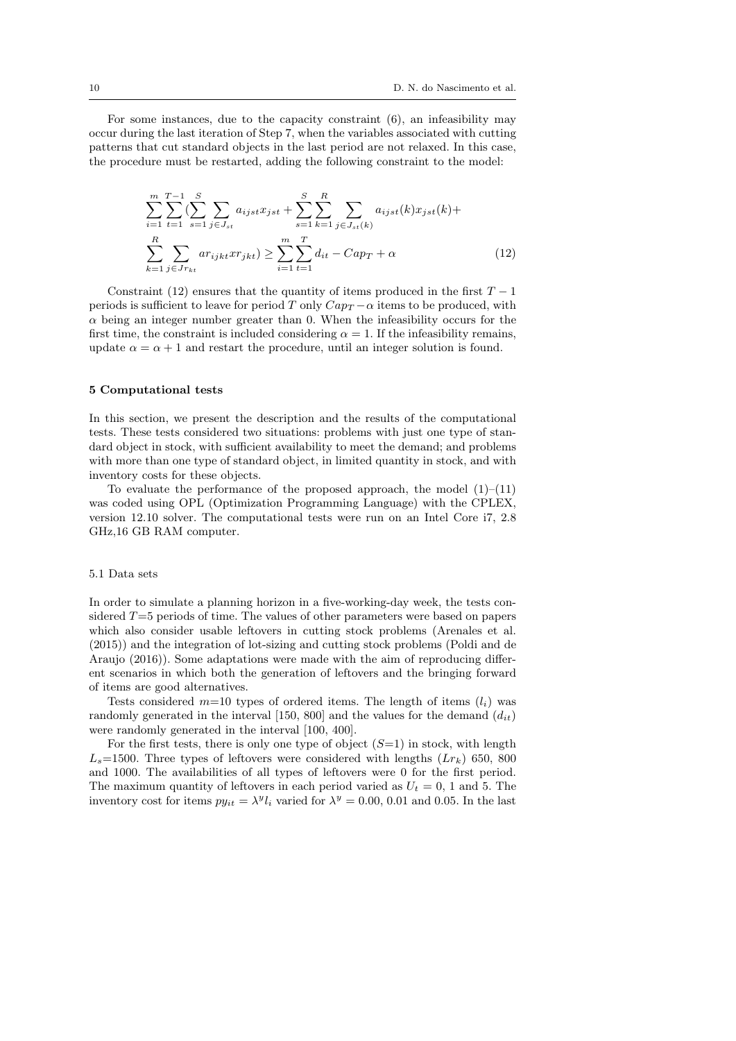For some instances, due to the capacity constraint (6), an infeasibility may occur during the last iteration of Step 7, when the variables associated with cutting patterns that cut standard objects in the last period are not relaxed. In this case, the procedure must be restarted, adding the following constraint to the model:

$$
\sum_{i=1}^{m} \sum_{t=1}^{T-1} \sum_{s=1}^{S} \sum_{j \in J_{st}} a_{ijst} x_{jst} + \sum_{s=1}^{S} \sum_{k=1}^{R} \sum_{j \in J_{st}(k)} a_{ijst}(k) x_{jst}(k) +
$$
  

$$
\sum_{k=1}^{R} \sum_{j \in Jr_{kt}} a_{ijkt} x r_{jkt} \ge \sum_{i=1}^{m} \sum_{t=1}^{T} d_{it} - Cap_T + \alpha
$$
 (12)

Constraint (12) ensures that the quantity of items produced in the first  $T - 1$ periods is sufficient to leave for period T only  $Cap_T - \alpha$  items to be produced, with  $\alpha$  being an integer number greater than 0. When the infeasibility occurs for the first time, the constraint is included considering  $\alpha = 1$ . If the infeasibility remains, update  $\alpha = \alpha + 1$  and restart the procedure, until an integer solution is found.

#### 5 Computational tests

In this section, we present the description and the results of the computational tests. These tests considered two situations: problems with just one type of standard object in stock, with sufficient availability to meet the demand; and problems with more than one type of standard object, in limited quantity in stock, and with inventory costs for these objects.

To evaluate the performance of the proposed approach, the model  $(1)$ – $(11)$ was coded using OPL (Optimization Programming Language) with the CPLEX, version 12.10 solver. The computational tests were run on an Intel Core i7, 2.8 GHz,16 GB RAM computer.

# 5.1 Data sets

In order to simulate a planning horizon in a five-working-day week, the tests considered  $T=5$  periods of time. The values of other parameters were based on papers which also consider usable leftovers in cutting stock problems (Arenales et al. (2015)) and the integration of lot-sizing and cutting stock problems (Poldi and de Araujo (2016)). Some adaptations were made with the aim of reproducing different scenarios in which both the generation of leftovers and the bringing forward of items are good alternatives.

Tests considered  $m=10$  types of ordered items. The length of items  $(l_i)$  was randomly generated in the interval [150, 800] and the values for the demand  $(d_{it})$ were randomly generated in the interval [100, 400].

For the first tests, there is only one type of object  $(S=1)$  in stock, with length  $L<sub>s</sub>=1500$ . Three types of leftovers were considered with lengths  $(Lr<sub>k</sub>)$  650, 800 and 1000. The availabilities of all types of leftovers were 0 for the first period. The maximum quantity of leftovers in each period varied as  $U_t = 0$ , 1 and 5. The inventory cost for items  $py_{it} = \lambda^{y} l_i$  varied for  $\lambda^{y} = 0.00, 0.01$  and 0.05. In the last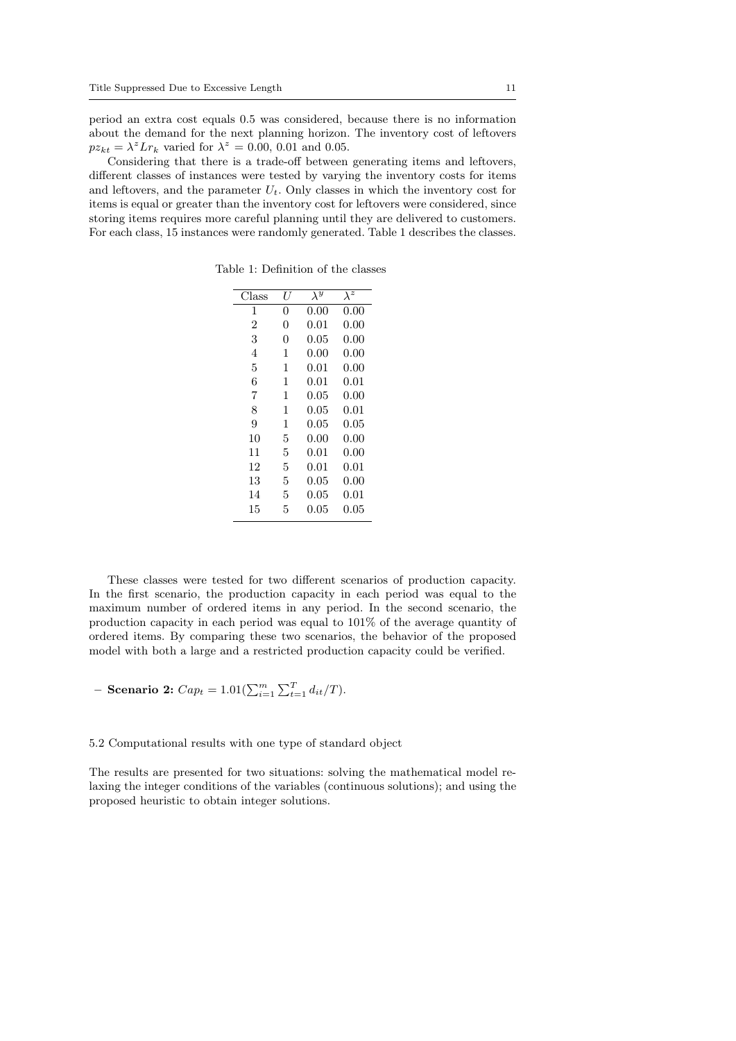period an extra cost equals 0.5 was considered, because there is no information about the demand for the next planning horizon. The inventory cost of leftovers  $pz_{kt} = \lambda^z Lr_k$  varied for  $\lambda^z = 0.00, 0.01$  and 0.05.

Considering that there is a trade-off between generating items and leftovers, different classes of instances were tested by varying the inventory costs for items and leftovers, and the parameter  $U_t$ . Only classes in which the inventory cost for items is equal or greater than the inventory cost for leftovers were considered, since storing items requires more careful planning until they are delivered to customers. For each class, 15 instances were randomly generated. Table 1 describes the classes.

| Class          | U | $\lambda^y$ | $\lambda^{\bar{z}}$ |
|----------------|---|-------------|---------------------|
| 1              | 0 | 0.00        | 0.00                |
| $\overline{2}$ | 0 | 0.01        | 0.00                |
| 3              | 0 | 0.05        | 0.00                |
| 4              | 1 | 0.00        | 0.00                |
| 5              | 1 | 0.01        | 0.00                |
| 6              | 1 | 0.01        | 0.01                |
| 7              | 1 | $\rm 0.05$  | 0.00                |
| 8              | 1 | 0.05        | 0.01                |
| 9              | 1 | 0.05        | 0.05                |
| 10             | 5 | 0.00        | $0.00\,$            |
| 11             | 5 | 0.01        | 0.00                |
| 12             | 5 | 0.01        | 0.01                |
| 13             | 5 | 0.05        | 0.00                |
| 14             | 5 | 0.05        | 0.01                |
| 15             | 5 | 0.05        | 0.05                |

Table 1: Definition of the classes

These classes were tested for two different scenarios of production capacity. In the first scenario, the production capacity in each period was equal to the maximum number of ordered items in any period. In the second scenario, the production capacity in each period was equal to 101% of the average quantity of ordered items. By comparing these two scenarios, the behavior of the proposed model with both a large and a restricted production capacity could be verified.

- Scenario 2:  $Cap_t = 1.01(\sum_{i=1}^{m} \sum_{t=1}^{T} d_{it}/T)$ .

# 5.2 Computational results with one type of standard object

The results are presented for two situations: solving the mathematical model relaxing the integer conditions of the variables (continuous solutions); and using the proposed heuristic to obtain integer solutions.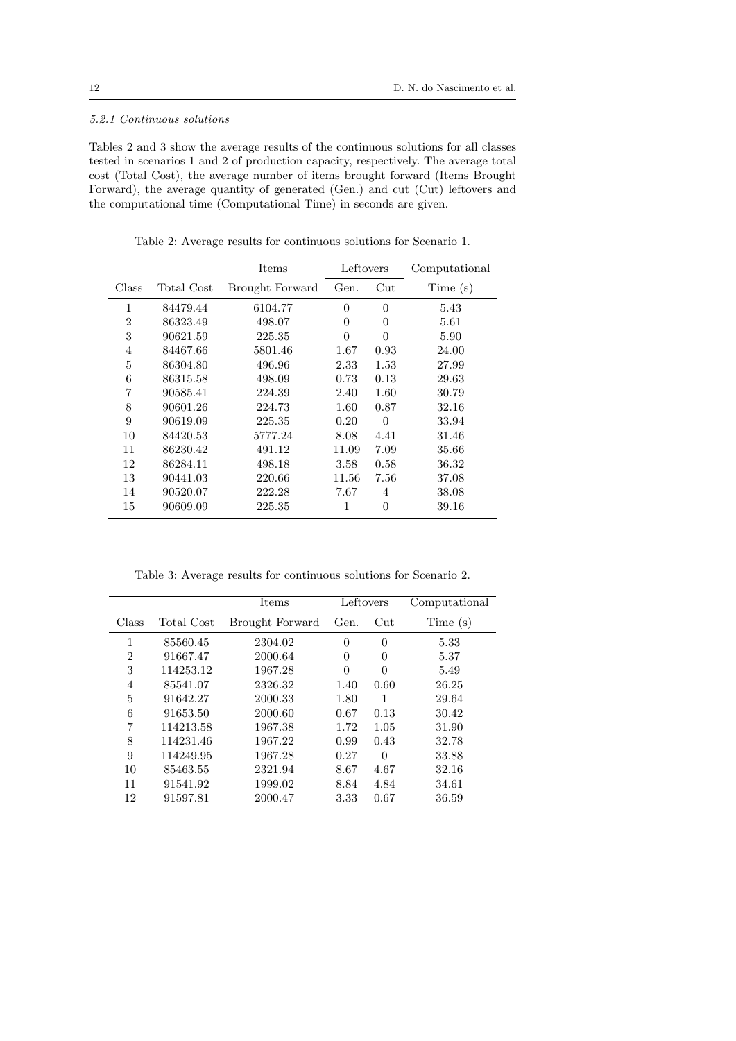# 5.2.1 Continuous solutions

Tables 2 and 3 show the average results of the continuous solutions for all classes tested in scenarios 1 and 2 of production capacity, respectively. The average total cost (Total Cost), the average number of items brought forward (Items Brought Forward), the average quantity of generated (Gen.) and cut (Cut) leftovers and the computational time (Computational Time) in seconds are given.

Table 2: Average results for continuous solutions for Scenario 1.

|                |            | Items           | Leftovers      |                | Computational |
|----------------|------------|-----------------|----------------|----------------|---------------|
| Class          | Total Cost | Brought Forward | Gen.           | $_{\rm Cut}$   | Time (s)      |
| 1              | 84479.44   | 6104.77         | $\overline{0}$ | $\overline{0}$ | 5.43          |
| $\overline{2}$ | 86323.49   | 498.07          | 0              | 0              | 5.61          |
| 3              | 90621.59   | 225.35          | $\Omega$       | 0              | 5.90          |
| 4              | 84467.66   | 5801.46         | 1.67           | 0.93           | 24.00         |
| 5              | 86304.80   | 496.96          | 2.33           | 1.53           | 27.99         |
| 6              | 86315.58   | 498.09          | 0.73           | 0.13           | 29.63         |
| 7              | 90585.41   | 224.39          | 2.40           | 1.60           | 30.79         |
| 8              | 90601.26   | 224.73          | 1.60           | 0.87           | 32.16         |
| 9              | 90619.09   | 225.35          | 0.20           | $\Omega$       | 33.94         |
| 10             | 84420.53   | 5777.24         | 8.08           | 4.41           | 31.46         |
| 11             | 86230.42   | 491.12          | 11.09          | 7.09           | 35.66         |
| 12             | 86284.11   | 498.18          | 3.58           | 0.58           | 36.32         |
| 13             | 90441.03   | 220.66          | 11.56          | 7.56           | 37.08         |
| 14             | 90520.07   | 222.28          | 7.67           | 4              | 38.08         |
| 15             | 90609.09   | 225.35          | 1              | $\Omega$       | 39.16         |

Table 3: Average results for continuous solutions for Scenario 2.

|       |            | Items           | Leftovers      |                 | Computational |
|-------|------------|-----------------|----------------|-----------------|---------------|
| Class | Total Cost | Brought Forward | Gen.           | $_{\text{Cut}}$ | Time (s)      |
| 1     | 85560.45   | 2304.02         | $\theta$       | $\theta$        | 5.33          |
| 2     | 91667.47   | 2000.64         | 0              | $\theta$        | 5.37          |
| 3     | 114253.12  | 1967.28         | $\overline{0}$ | $\theta$        | 5.49          |
| 4     | 85541.07   | 2326.32         | 1.40           | 0.60            | 26.25         |
| 5     | 91642.27   | 2000.33         | 1.80           | 1               | 29.64         |
| 6     | 91653.50   | 2000.60         | 0.67           | 0.13            | 30.42         |
| 7     | 114213.58  | 1967.38         | 1.72           | 1.05            | 31.90         |
| 8     | 114231.46  | 1967.22         | 0.99           | 0.43            | 32.78         |
| 9     | 114249.95  | 1967.28         | 0.27           | $\theta$        | 33.88         |
| 10    | 85463.55   | 2321.94         | 8.67           | 4.67            | 32.16         |
| 11    | 91541.92   | 1999.02         | 8.84           | 4.84            | 34.61         |
| 12    | 91597.81   | 2000.47         | 3.33           | 0.67            | 36.59         |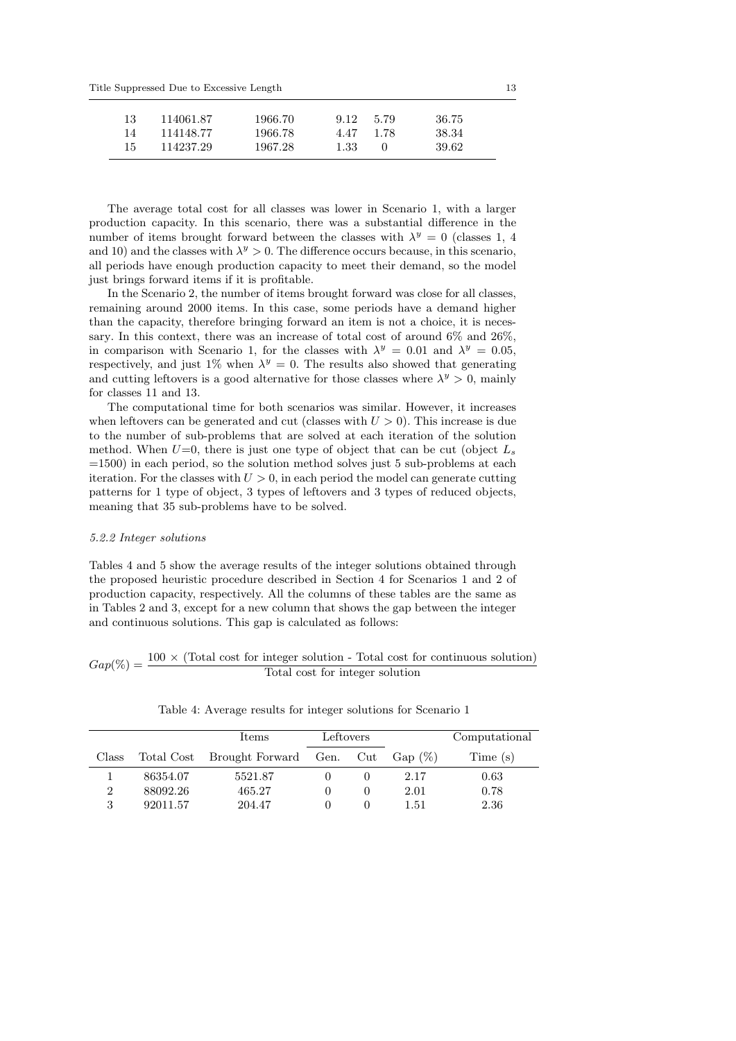| 13 | 114061.87 | 1966.70 | 9.12 | 5.79 | 36.75 |
|----|-----------|---------|------|------|-------|
| 14 | 114148.77 | 1966.78 | 4.47 | 1.78 | 38.34 |
| 15 | 114237.29 | 1967.28 | 1.33 |      | 39.62 |

The average total cost for all classes was lower in Scenario 1, with a larger production capacity. In this scenario, there was a substantial difference in the number of items brought forward between the classes with  $\lambda^y = 0$  (classes 1, 4 and 10) and the classes with  $\lambda^y > 0$ . The difference occurs because, in this scenario, all periods have enough production capacity to meet their demand, so the model just brings forward items if it is profitable.

In the Scenario 2, the number of items brought forward was close for all classes, remaining around 2000 items. In this case, some periods have a demand higher than the capacity, therefore bringing forward an item is not a choice, it is necessary. In this context, there was an increase of total cost of around 6% and 26%, in comparison with Scenario 1, for the classes with  $\lambda^y = 0.01$  and  $\lambda^y = 0.05$ , respectively, and just 1% when  $\lambda^y = 0$ . The results also showed that generating and cutting leftovers is a good alternative for those classes where  $\lambda^y > 0$ , mainly for classes 11 and 13.

The computational time for both scenarios was similar. However, it increases when leftovers can be generated and cut (classes with  $U > 0$ ). This increase is due to the number of sub-problems that are solved at each iteration of the solution method. When  $U=0$ , there is just one type of object that can be cut (object  $L_s$  $=1500$ ) in each period, so the solution method solves just 5 sub-problems at each iteration. For the classes with  $U > 0$ , in each period the model can generate cutting patterns for 1 type of object, 3 types of leftovers and 3 types of reduced objects, meaning that 35 sub-problems have to be solved.

# 5.2.2 Integer solutions

Tables 4 and 5 show the average results of the integer solutions obtained through the proposed heuristic procedure described in Section 4 for Scenarios 1 and 2 of production capacity, respectively. All the columns of these tables are the same as in Tables 2 and 3, except for a new column that shows the gap between the integer and continuous solutions. This gap is calculated as follows:

$$
Gap(\%) = \frac{100 \times (Total cost for integer solution - Total cost for continuous solution)}{Total cost for integer solution}
$$

|       |            | <b>Items</b>         | Leftovers |     |            | Computational |
|-------|------------|----------------------|-----------|-----|------------|---------------|
| Class | Total Cost | Brought Forward Gen. |           | Cut | Gap $(\%)$ | Time (s)      |
|       | 86354.07   | 5521.87              |           |     | 2.17       | 0.63          |
| 2     | 88092.26   | 465.27               |           |     | 2.01       | 0.78          |
| 3     | 92011.57   | 204.47               |           |     | 1.51       | 2.36          |

Table 4: Average results for integer solutions for Scenario 1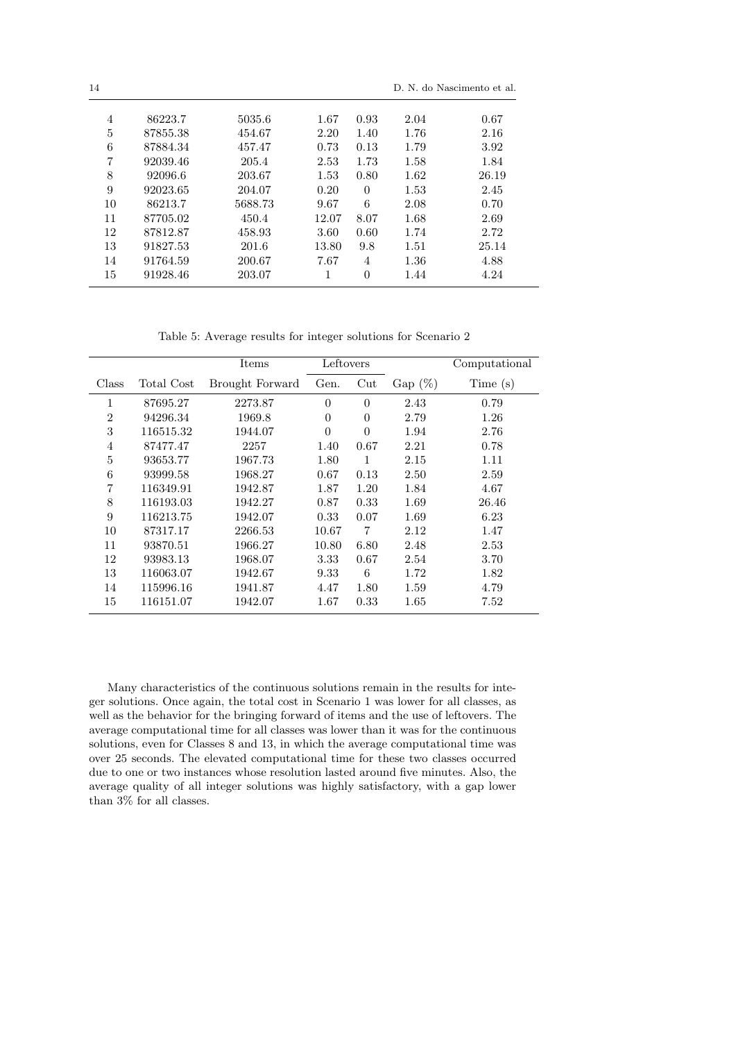| D. N. do Nascimento et al. |
|----------------------------|
|                            |

| 4  | 86223.7  | 5035.6  | 1.67  | 0.93     | 2.04 | 0.67  |
|----|----------|---------|-------|----------|------|-------|
| 5  | 87855.38 | 454.67  | 2.20  | 1.40     | 1.76 | 2.16  |
| 6  | 87884.34 | 457.47  | 0.73  | 0.13     | 1.79 | 3.92  |
| 7  | 92039.46 | 205.4   | 2.53  | 1.73     | 1.58 | 1.84  |
| 8  | 92096.6  | 203.67  | 1.53  | 0.80     | 1.62 | 26.19 |
| 9  | 92023.65 | 204.07  | 0.20  | $\Omega$ | 1.53 | 2.45  |
| 10 | 86213.7  | 5688.73 | 9.67  | 6        | 2.08 | 0.70  |
| 11 | 87705.02 | 450.4   | 12.07 | 8.07     | 1.68 | 2.69  |
| 12 | 87812.87 | 458.93  | 3.60  | 0.60     | 1.74 | 2.72  |
| 13 | 91827.53 | 201.6   | 13.80 | 9.8      | 1.51 | 25.14 |
| 14 | 91764.59 | 200.67  | 7.67  | 4        | 1.36 | 4.88  |
| 15 | 91928.46 | 203.07  |       | $\theta$ | 1.44 | 4.24  |
|    |          |         |       |          |      |       |

Table 5: Average results for integer solutions for Scenario 2

|                |            | Items           | Leftovers |                |           | Computational |
|----------------|------------|-----------------|-----------|----------------|-----------|---------------|
| Class          | Total Cost | Brought Forward | Gen.      | $_{\rm Cut}$   | $Gap(\%)$ | Time (s)      |
| 1              | 87695.27   | 2273.87         | $\theta$  | $\overline{0}$ | 2.43      | 0.79          |
| $\overline{2}$ | 94296.34   | 1969.8          | $\theta$  | $\overline{0}$ | 2.79      | 1.26          |
| 3              | 116515.32  | 1944.07         | $\theta$  | $\Omega$       | 1.94      | 2.76          |
| $\overline{4}$ | 87477.47   | 2257            | 1.40      | 0.67           | 2.21      | 0.78          |
| 5              | 93653.77   | 1967.73         | 1.80      | 1              | 2.15      | 1.11          |
| 6              | 93999.58   | 1968.27         | 0.67      | 0.13           | 2.50      | 2.59          |
| 7              | 116349.91  | 1942.87         | 1.87      | 1.20           | 1.84      | 4.67          |
| 8              | 116193.03  | 1942.27         | 0.87      | 0.33           | 1.69      | 26.46         |
| 9              | 116213.75  | 1942.07         | 0.33      | 0.07           | 1.69      | 6.23          |
| 10             | 87317.17   | 2266.53         | 10.67     | $\overline{7}$ | 2.12      | 1.47          |
| 11             | 93870.51   | 1966.27         | 10.80     | 6.80           | 2.48      | 2.53          |
| 12             | 93983.13   | 1968.07         | 3.33      | 0.67           | 2.54      | 3.70          |
| 13             | 116063.07  | 1942.67         | 9.33      | 6              | 1.72      | 1.82          |
| 14             | 115996.16  | 1941.87         | 4.47      | 1.80           | 1.59      | 4.79          |
| 15             | 116151.07  | 1942.07         | 1.67      | 0.33           | 1.65      | 7.52          |

Many characteristics of the continuous solutions remain in the results for integer solutions. Once again, the total cost in Scenario 1 was lower for all classes, as well as the behavior for the bringing forward of items and the use of leftovers. The average computational time for all classes was lower than it was for the continuous solutions, even for Classes 8 and 13, in which the average computational time was over 25 seconds. The elevated computational time for these two classes occurred due to one or two instances whose resolution lasted around five minutes. Also, the average quality of all integer solutions was highly satisfactory, with a gap lower than 3% for all classes.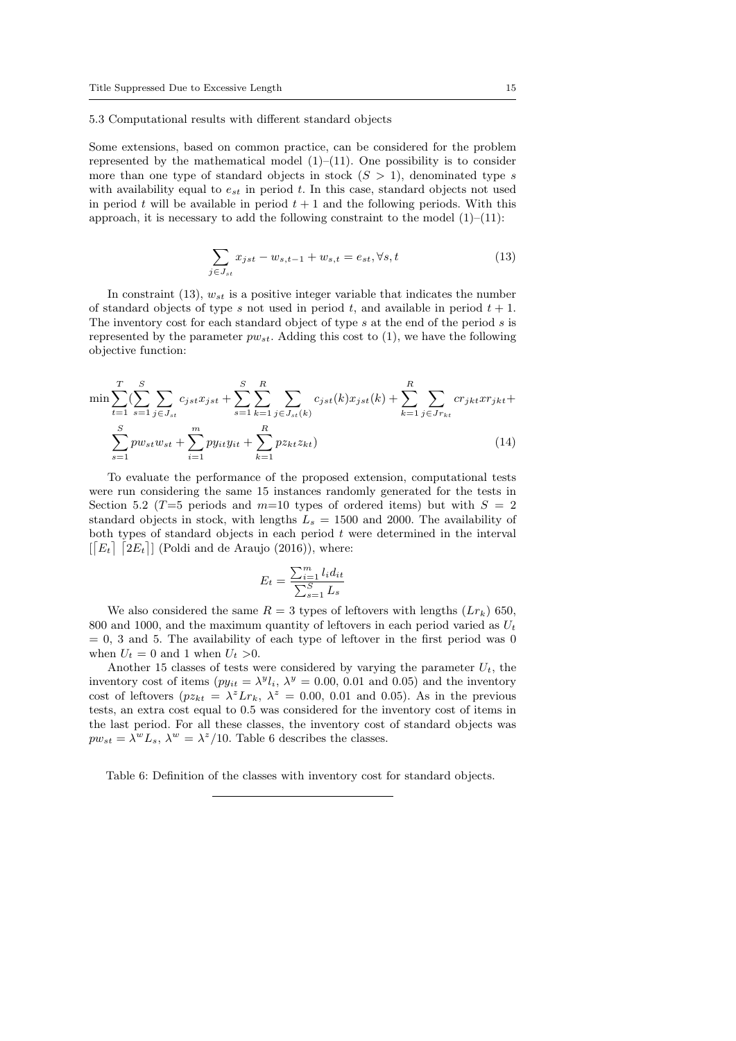5.3 Computational results with different standard objects

Some extensions, based on common practice, can be considered for the problem represented by the mathematical model  $(1)$ – $(11)$ . One possibility is to consider more than one type of standard objects in stock  $(S > 1)$ , denominated type s with availability equal to  $e_{st}$  in period t. In this case, standard objects not used in period t will be available in period  $t + 1$  and the following periods. With this approach, it is necessary to add the following constraint to the model  $(1)$ – $(11)$ :

$$
\sum_{j \in J_{st}} x_{jst} - w_{s,t-1} + w_{s,t} = e_{st}, \forall s, t \tag{13}
$$

In constraint (13),  $w_{st}$  is a positive integer variable that indicates the number of standard objects of type s not used in period t, and available in period  $t + 1$ . The inventory cost for each standard object of type s at the end of the period s is represented by the parameter  $pw_{st}$ . Adding this cost to (1), we have the following objective function:

$$
\min \sum_{t=1}^{T} \left( \sum_{s=1}^{S} \sum_{j \in J_{st}} c_{jst} x_{jst} + \sum_{s=1}^{S} \sum_{k=1}^{R} \sum_{j \in J_{st}(k)} c_{jst}(k) x_{jst}(k) + \sum_{k=1}^{R} \sum_{j \in J_{r_{kt}}} c_{jkt} x_{r_{jkt}} + \sum_{s=1}^{S} p w_{st} w_{st} + \sum_{i=1}^{R} p y_{it} y_{it} + \sum_{k=1}^{R} p z_{kt} z_{kt}
$$
\n(14)

To evaluate the performance of the proposed extension, computational tests were run considering the same 15 instances randomly generated for the tests in Section 5.2 (T=5 periods and  $m=10$  types of ordered items) but with  $S = 2$ standard objects in stock, with lengths  $L_s = 1500$  and 2000. The availability of both types of standard objects in each period  $t$  were determined in the interval  $[[E_t] [2E_t]]$  (Poldi and de Araujo (2016)), where:

$$
E_t = \frac{\sum_{i=1}^{m} l_i d_{it}}{\sum_{s=1}^{S} L_s}
$$

We also considered the same  $R = 3$  types of leftovers with lengths  $(Lr_k)$  650, 800 and 1000, and the maximum quantity of leftovers in each period varied as  $U_t$  $= 0, 3$  and 5. The availability of each type of leftover in the first period was 0 when  $U_t = 0$  and 1 when  $U_t > 0$ .

Another 15 classes of tests were considered by varying the parameter  $U_t$ , the inventory cost of items  $(py_{it} = \lambda^{y} l_i, \lambda^{y} = 0.00, 0.01 \text{ and } 0.05)$  and the inventory cost of leftovers  $(pz_{kt} = \lambda^z Lr_k, \lambda^z = 0.00, 0.01$  and 0.05). As in the previous tests, an extra cost equal to 0.5 was considered for the inventory cost of items in the last period. For all these classes, the inventory cost of standard objects was  $pw_{st} = \lambda^w L_s$ ,  $\lambda^w = \lambda^z / 10$ . Table 6 describes the classes.

Table 6: Definition of the classes with inventory cost for standard objects.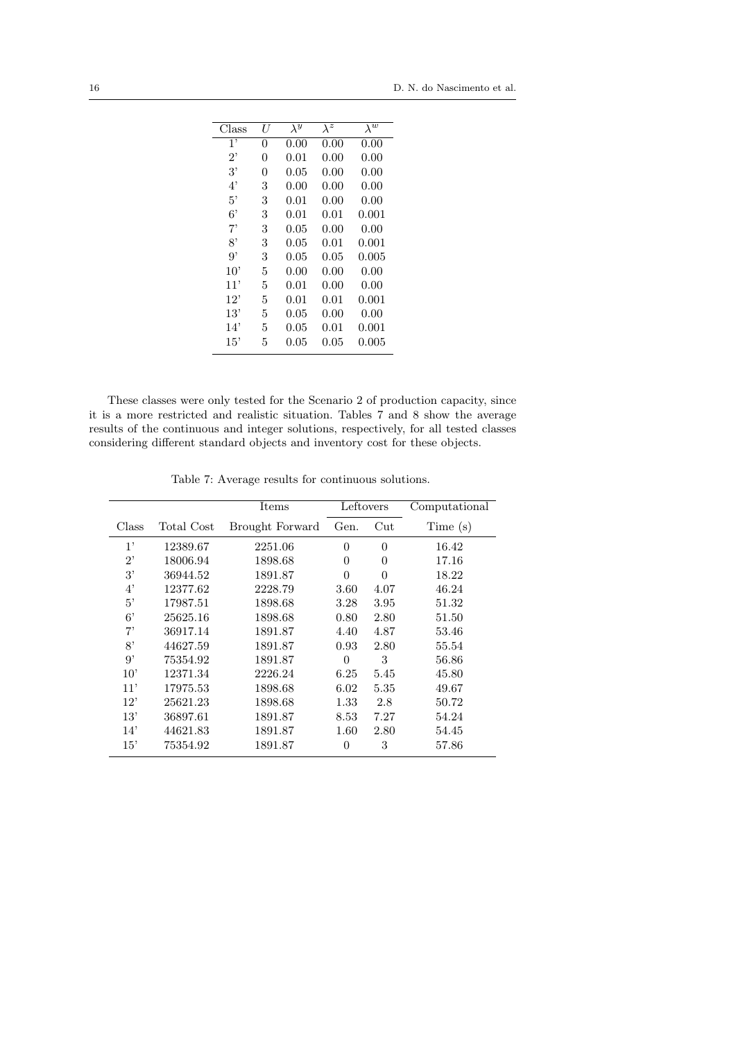| Class        | U | $\lambda^{\overline{y}}$ | $\lambda^{\overline{z}}$ | $\lambda^{\overline{w}}$ |
|--------------|---|--------------------------|--------------------------|--------------------------|
| $1$ '        | 0 | 0.00                     | 0.00                     | 0.00                     |
| $2^,$        | 0 | 0.01                     | 0.00                     | 0.00                     |
| 3'           | 0 | 0.05                     | 0.00                     | 0.00                     |
| $4^{\circ}$  | 3 | 0.00                     | 0.00                     | 0.00                     |
| 5'           | 3 | 0.01                     | 0.00                     | 0.00                     |
| 6'           | 3 | 0.01                     | 0.01                     | 0.001                    |
| 7'           | 3 | 0.05                     | 0.00                     | 0.00                     |
| $8^{\circ}$  | 3 | 0.05                     | 0.01                     | 0.001                    |
| $\dot{q}$    | 3 | 0.05                     | 0.05                     | 0.005                    |
| $10^{3}$     | 5 | 0.00                     | 0.00                     | 0.00                     |
| 11'          | 5 | 0.01                     | 0.00                     | 0.00                     |
| 12'          | 5 | 0.01                     | 0.01                     | 0.001                    |
| 13'          | 5 | 0.05                     | 0.00                     | 0.00                     |
| 14'          | 5 | 0.05                     | 0.01                     | 0.001                    |
| $15^{\circ}$ | 5 | 0.05                     | 0.05                     | 0.005                    |

These classes were only tested for the Scenario 2 of production capacity, since it is a more restricted and realistic situation. Tables 7 and 8 show the average results of the continuous and integer solutions, respectively, for all tested classes considering different standard objects and inventory cost for these objects.

Table 7: Average results for continuous solutions.

|              |            | Items           | Leftovers |                 | Computational |
|--------------|------------|-----------------|-----------|-----------------|---------------|
| Class        | Total Cost | Brought Forward | Gen.      | $_{\text{Cut}}$ | Time (s)      |
| $1$ '        | 12389.67   | 2251.06         | $\Omega$  | $\theta$        | 16.42         |
| $2^{\circ}$  | 18006.94   | 1898.68         | $\Omega$  | $\theta$        | 17.16         |
| 3'           | 36944.52   | 1891.87         | $\Omega$  | $\Omega$        | 18.22         |
| $4^{\circ}$  | 12377.62   | 2228.79         | 3.60      | 4.07            | 46.24         |
| 5'           | 17987.51   | 1898.68         | 3.28      | 3.95            | 51.32         |
| 6'           | 25625.16   | 1898.68         | 0.80      | 2.80            | 51.50         |
| $7^,$        | 36917.14   | 1891.87         | 4.40      | 4.87            | 53.46         |
| 8'           | 44627.59   | 1891.87         | 0.93      | 2.80            | 55.54         |
| 9'           | 75354.92   | 1891.87         | $\theta$  | 3               | 56.86         |
| $10^{\circ}$ | 12371.34   | 2226.24         | 6.25      | 5.45            | 45.80         |
| 11'          | 17975.53   | 1898.68         | 6.02      | 5.35            | 49.67         |
| 12'          | 25621.23   | 1898.68         | 1.33      | 2.8             | 50.72         |
| 13'          | 36897.61   | 1891.87         | 8.53      | 7.27            | 54.24         |
| 14'          | 44621.83   | 1891.87         | 1.60      | 2.80            | 54.45         |
| 15'          | 75354.92   | 1891.87         | $\Omega$  | 3               | 57.86         |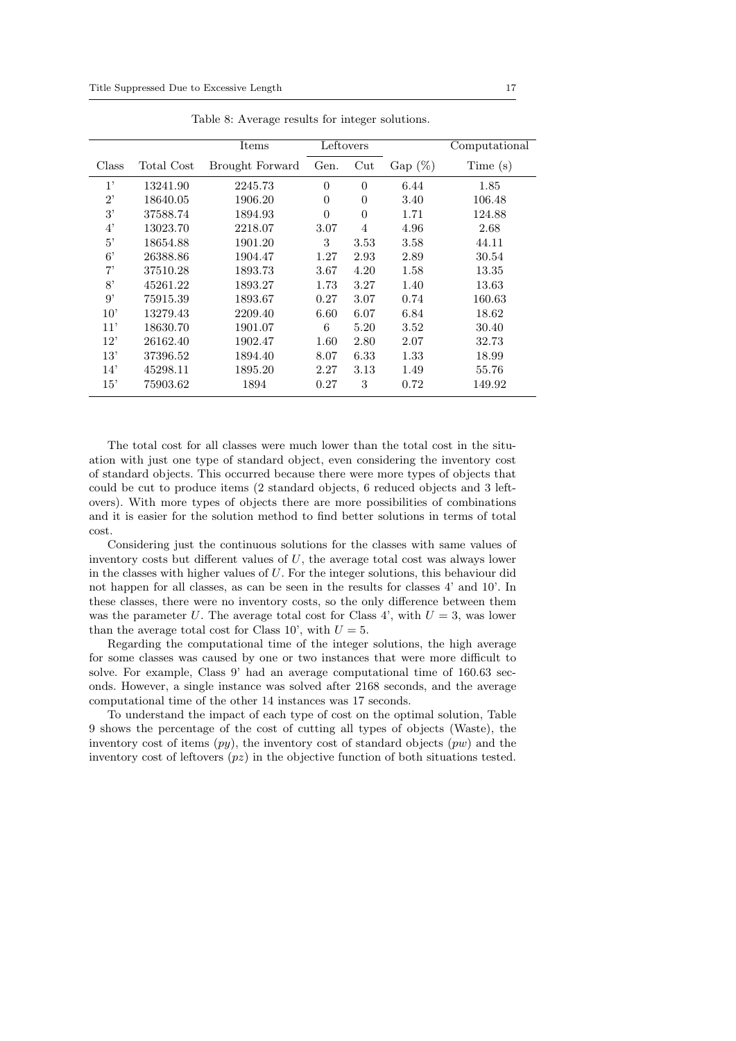|              |            | Items           | Leftovers      |                |           | Computational |
|--------------|------------|-----------------|----------------|----------------|-----------|---------------|
| Class        | Total Cost | Brought Forward | Gen.           | $_{\rm Cut}$   | $Gap(\%)$ | Time(s)       |
| $1^{\prime}$ | 13241.90   | 2245.73         | $\theta$       | $\theta$       | 6.44      | 1.85          |
| $2^{\circ}$  | 18640.05   | 1906.20         | $\overline{0}$ | $\overline{0}$ | 3.40      | 106.48        |
| 3'           | 37588.74   | 1894.93         | $\theta$       | $\overline{0}$ | 1.71      | 124.88        |
| $4^{\circ}$  | 13023.70   | 2218.07         | 3.07           | $\overline{4}$ | 4.96      | 2.68          |
| 5'           | 18654.88   | 1901.20         | 3              | 3.53           | 3.58      | 44.11         |
| $6^{\circ}$  | 26388.86   | 1904.47         | 1.27           | 2.93           | 2.89      | 30.54         |
| $7^,$        | 37510.28   | 1893.73         | 3.67           | 4.20           | 1.58      | 13.35         |
| 8'           | 45261.22   | 1893.27         | 1.73           | 3.27           | 1.40      | 13.63         |
| 9'           | 75915.39   | 1893.67         | 0.27           | 3.07           | 0.74      | 160.63        |
| $10^{\circ}$ | 13279.43   | 2209.40         | 6.60           | 6.07           | 6.84      | 18.62         |
| 11'          | 18630.70   | 1901.07         | 6              | 5.20           | 3.52      | 30.40         |
| 12'          | 26162.40   | 1902.47         | 1.60           | 2.80           | 2.07      | 32.73         |
| 13'          | 37396.52   | 1894.40         | 8.07           | 6.33           | 1.33      | 18.99         |
| 14'          | 45298.11   | 1895.20         | 2.27           | 3.13           | 1.49      | 55.76         |
| 15'          | 75903.62   | 1894            | 0.27           | 3              | 0.72      | 149.92        |

Table 8: Average results for integer solutions.

The total cost for all classes were much lower than the total cost in the situation with just one type of standard object, even considering the inventory cost of standard objects. This occurred because there were more types of objects that could be cut to produce items (2 standard objects, 6 reduced objects and 3 leftovers). With more types of objects there are more possibilities of combinations and it is easier for the solution method to find better solutions in terms of total cost.

Considering just the continuous solutions for the classes with same values of inventory costs but different values of  $U$ , the average total cost was always lower in the classes with higher values of  $U$ . For the integer solutions, this behaviour did not happen for all classes, as can be seen in the results for classes 4' and 10'. In these classes, there were no inventory costs, so the only difference between them was the parameter U. The average total cost for Class 4', with  $U = 3$ , was lower than the average total cost for Class 10', with  $U = 5$ .

Regarding the computational time of the integer solutions, the high average for some classes was caused by one or two instances that were more difficult to solve. For example, Class 9' had an average computational time of 160.63 seconds. However, a single instance was solved after 2168 seconds, and the average computational time of the other 14 instances was 17 seconds.

To understand the impact of each type of cost on the optimal solution, Table 9 shows the percentage of the cost of cutting all types of objects (Waste), the inventory cost of items  $(py)$ , the inventory cost of standard objects  $(pw)$  and the inventory cost of leftovers  $(pz)$  in the objective function of both situations tested.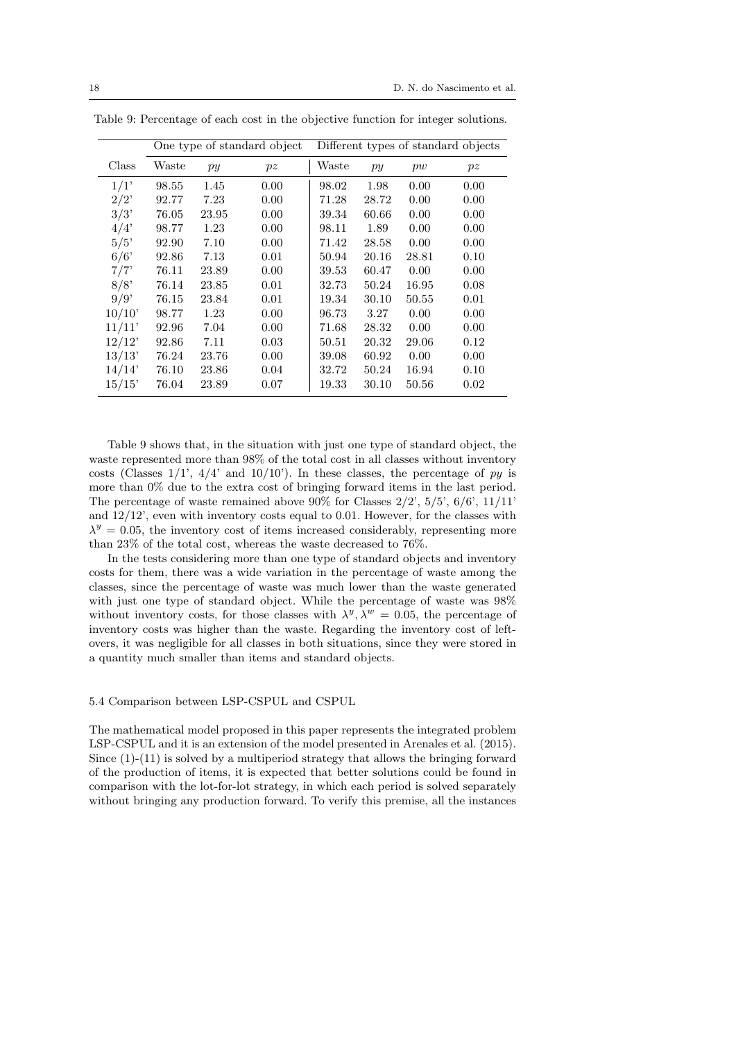|                    |       |       | One type of standard object |       |       | Different types of standard objects |                 |
|--------------------|-------|-------|-----------------------------|-------|-------|-------------------------------------|-----------------|
| Class              | Waste | py    | pz                          | Waste | py    | pw                                  | $p\overline{z}$ |
| $1/1$ '            | 98.55 | 1.45  | 0.00                        | 98.02 | 1.98  | 0.00                                | 0.00            |
| $2/2$ <sup>'</sup> | 92.77 | 7.23  | 0.00                        | 71.28 | 28.72 | 0.00                                | 0.00            |
| 3/3'               | 76.05 | 23.95 | 0.00                        | 39.34 | 60.66 | 0.00                                | 0.00            |
| 4/4'               | 98.77 | 1.23  | 0.00                        | 98.11 | 1.89  | 0.00                                | 0.00            |
| 5/5                | 92.90 | 7.10  | 0.00                        | 71.42 | 28.58 | 0.00                                | 0.00            |
| 6/6                | 92.86 | 7.13  | 0.01                        | 50.94 | 20.16 | 28.81                               | 0.10            |
| 7/7'               | 76.11 | 23.89 | 0.00                        | 39.53 | 60.47 | 0.00                                | 0.00            |
| 8/8'               | 76.14 | 23.85 | 0.01                        | 32.73 | 50.24 | 16.95                               | 0.08            |
| 9/9'               | 76.15 | 23.84 | 0.01                        | 19.34 | 30.10 | 50.55                               | 0.01            |
| 10/10              | 98.77 | 1.23  | 0.00                        | 96.73 | 3.27  | 0.00                                | 0.00            |
| 11/11'             | 92.96 | 7.04  | 0.00                        | 71.68 | 28.32 | 0.00                                | 0.00            |
| 12/12'             | 92.86 | 7.11  | 0.03                        | 50.51 | 20.32 | 29.06                               | 0.12            |
| 13/13'             | 76.24 | 23.76 | 0.00                        | 39.08 | 60.92 | 0.00                                | 0.00            |
| 14/14'             | 76.10 | 23.86 | 0.04                        | 32.72 | 50.24 | 16.94                               | 0.10            |
| 15/15              | 76.04 | 23.89 | 0.07                        | 19.33 | 30.10 | 50.56                               | 0.02            |

Table 9: Percentage of each cost in the objective function for integer solutions.

Table 9 shows that, in the situation with just one type of standard object, the waste represented more than 98% of the total cost in all classes without inventory costs (Classes  $1/1$ ',  $4/4$ ' and  $10/10$ '). In these classes, the percentage of py is more than 0% due to the extra cost of bringing forward items in the last period. The percentage of waste remained above  $90\%$  for Classes  $2/2$ ',  $5/5$ ',  $6/6$ ',  $11/11$ ' and  $12/12$ , even with inventory costs equal to 0.01. However, for the classes with  $\lambda^{y} = 0.05$ , the inventory cost of items increased considerably, representing more than 23% of the total cost, whereas the waste decreased to 76%.

In the tests considering more than one type of standard objects and inventory costs for them, there was a wide variation in the percentage of waste among the classes, since the percentage of waste was much lower than the waste generated with just one type of standard object. While the percentage of waste was 98% without inventory costs, for those classes with  $\lambda^y$ ,  $\lambda^w = 0.05$ , the percentage of inventory costs was higher than the waste. Regarding the inventory cost of leftovers, it was negligible for all classes in both situations, since they were stored in a quantity much smaller than items and standard objects.

# 5.4 Comparison between LSP-CSPUL and CSPUL

The mathematical model proposed in this paper represents the integrated problem LSP-CSPUL and it is an extension of the model presented in Arenales et al. (2015). Since  $(1)-(11)$  is solved by a multiperiod strategy that allows the bringing forward of the production of items, it is expected that better solutions could be found in comparison with the lot-for-lot strategy, in which each period is solved separately without bringing any production forward. To verify this premise, all the instances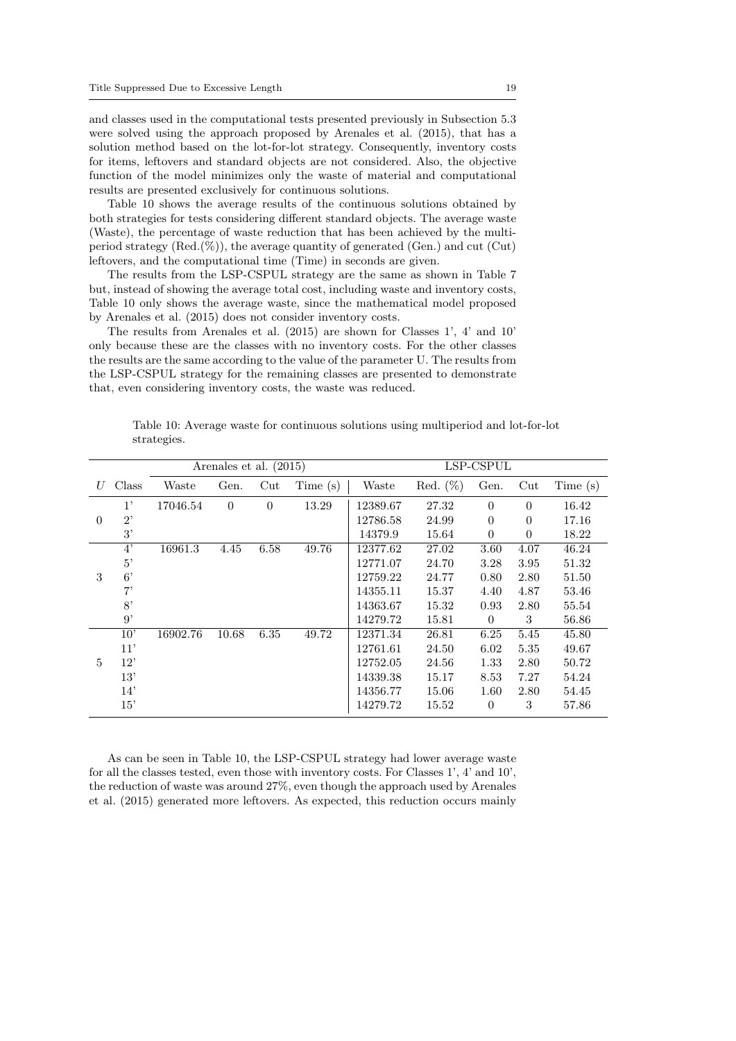and classes used in the computational tests presented previously in Subsection 5.3 were solved using the approach proposed by Arenales et al. (2015), that has a solution method based on the lot-for-lot strategy. Consequently, inventory costs for items, leftovers and standard objects are not considered. Also, the objective function of the model minimizes only the waste of material and computational results are presented exclusively for continuous solutions.

Table 10 shows the average results of the continuous solutions obtained by both strategies for tests considering different standard objects. The average waste (Waste), the percentage of waste reduction that has been achieved by the multiperiod strategy  $(\text{Red.}(\%))$ , the average quantity of generated (Gen.) and cut (Cut) leftovers, and the computational time (Time) in seconds are given.

The results from the LSP-CSPUL strategy are the same as shown in Table 7 but, instead of showing the average total cost, including waste and inventory costs, Table 10 only shows the average waste, since the mathematical model proposed by Arenales et al. (2015) does not consider inventory costs.

The results from Arenales et al. (2015) are shown for Classes 1', 4' and 10' only because these are the classes with no inventory costs. For the other classes the results are the same according to the value of the parameter U. The results from the LSP-CSPUL strategy for the remaining classes are presented to demonstrate that, even considering inventory costs, the waste was reduced.

|          |              |          | Arenales et al. (2015) |          |          | LSP-CSPUL |             |                |                 |          |
|----------|--------------|----------|------------------------|----------|----------|-----------|-------------|----------------|-----------------|----------|
| U        | Class        | Waste    | Gen.                   | Cut      | Time (s) | Waste     | Red. $(\%)$ | Gen.           | $_{\text{Cut}}$ | Time (s) |
|          | 1'           | 17046.54 | $\theta$               | $\theta$ | 13.29    | 12389.67  | 27.32       | $\theta$       | $\theta$        | 16.42    |
| $\theta$ | $2^{\prime}$ |          |                        |          |          | 12786.58  | 24.99       | $\theta$       | $\theta$        | 17.16    |
|          | 3'           |          |                        |          |          | 14379.9   | 15.64       | $\overline{0}$ | $\theta$        | 18.22    |
|          | $4^{\circ}$  | 16961.3  | 4.45                   | 6.58     | 49.76    | 12377.62  | 27.02       | 3.60           | 4.07            | 46.24    |
|          | 5'           |          |                        |          |          | 12771.07  | 24.70       | 3.28           | 3.95            | 51.32    |
| 3        | $6^{\circ}$  |          |                        |          |          | 12759.22  | 24.77       | 0.80           | 2.80            | 51.50    |
|          | 7'           |          |                        |          |          | 14355.11  | 15.37       | 4.40           | 4.87            | 53.46    |
|          | 8'           |          |                        |          |          | 14363.67  | 15.32       | 0.93           | 2.80            | 55.54    |
|          | 9'           |          |                        |          |          | 14279.72  | 15.81       | $\Omega$       | 3               | 56.86    |
|          | $10^{\circ}$ | 16902.76 | 10.68                  | 6.35     | 49.72    | 12371.34  | 26.81       | 6.25           | 5.45            | 45.80    |
|          | 11'          |          |                        |          |          | 12761.61  | 24.50       | 6.02           | 5.35            | 49.67    |
| 5        | 12'          |          |                        |          |          | 12752.05  | 24.56       | 1.33           | 2.80            | 50.72    |
|          | 13'          |          |                        |          |          | 14339.38  | 15.17       | 8.53           | 7.27            | 54.24    |
|          | 14'          |          |                        |          |          | 14356.77  | 15.06       | 1.60           | 2.80            | 54.45    |
|          | 15'          |          |                        |          |          | 14279.72  | 15.52       | $\overline{0}$ | 3               | 57.86    |

Table 10: Average waste for continuous solutions using multiperiod and lot-for-lot strategies.

As can be seen in Table 10, the LSP-CSPUL strategy had lower average waste for all the classes tested, even those with inventory costs. For Classes 1', 4' and 10', the reduction of waste was around 27%, even though the approach used by Arenales et al. (2015) generated more leftovers. As expected, this reduction occurs mainly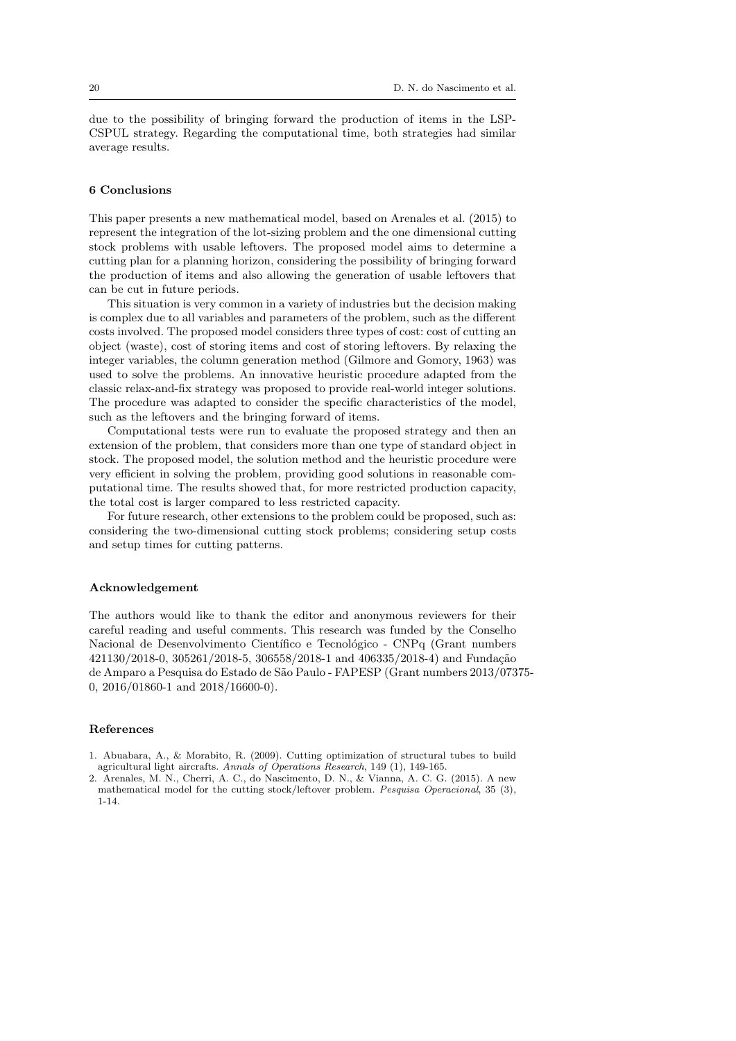due to the possibility of bringing forward the production of items in the LSP-CSPUL strategy. Regarding the computational time, both strategies had similar average results.

## 6 Conclusions

This paper presents a new mathematical model, based on Arenales et al. (2015) to represent the integration of the lot-sizing problem and the one dimensional cutting stock problems with usable leftovers. The proposed model aims to determine a cutting plan for a planning horizon, considering the possibility of bringing forward the production of items and also allowing the generation of usable leftovers that can be cut in future periods.

This situation is very common in a variety of industries but the decision making is complex due to all variables and parameters of the problem, such as the different costs involved. The proposed model considers three types of cost: cost of cutting an object (waste), cost of storing items and cost of storing leftovers. By relaxing the integer variables, the column generation method (Gilmore and Gomory, 1963) was used to solve the problems. An innovative heuristic procedure adapted from the classic relax-and-fix strategy was proposed to provide real-world integer solutions. The procedure was adapted to consider the specific characteristics of the model, such as the leftovers and the bringing forward of items.

Computational tests were run to evaluate the proposed strategy and then an extension of the problem, that considers more than one type of standard object in stock. The proposed model, the solution method and the heuristic procedure were very efficient in solving the problem, providing good solutions in reasonable computational time. The results showed that, for more restricted production capacity, the total cost is larger compared to less restricted capacity.

For future research, other extensions to the problem could be proposed, such as: considering the two-dimensional cutting stock problems; considering setup costs and setup times for cutting patterns.

# Acknowledgement

The authors would like to thank the editor and anonymous reviewers for their careful reading and useful comments. This research was funded by the Conselho Nacional de Desenvolvimento Científico e Tecnológico - CNPq (Grant numbers  $421130/2018-0$ ,  $305261/2018-5$ ,  $306558/2018-1$  and  $406335/2018-4$ ) and Fundação de Amparo a Pesquisa do Estado de S˜ao Paulo - FAPESP (Grant numbers 2013/07375- 0, 2016/01860-1 and 2018/16600-0).

## References

- 1. Abuabara, A., & Morabito, R. (2009). Cutting optimization of structural tubes to build agricultural light aircrafts. Annals of Operations Research, 149 (1), 149-165.
- 2. Arenales, M. N., Cherri, A. C., do Nascimento, D. N., & Vianna, A. C. G. (2015). A new mathematical model for the cutting stock/leftover problem. Pesquisa Operacional, 35 (3), 1-14.